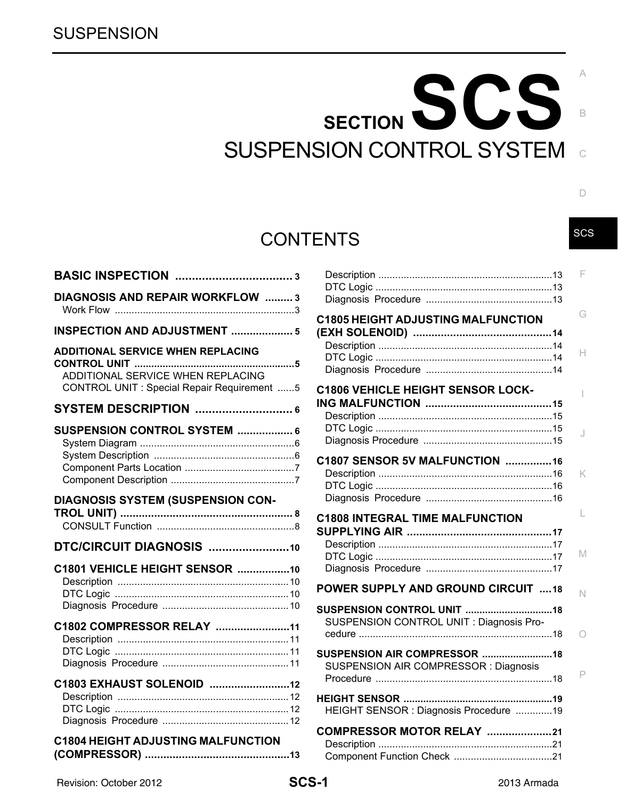# SECTION SCS SUSPENSION CONTROL SYSTEM

## **CONTENTS**

| <b>DIAGNOSIS AND REPAIR WORKFLOW  3</b>                                                                                      |
|------------------------------------------------------------------------------------------------------------------------------|
| <b>INSPECTION AND ADJUSTMENT  5</b>                                                                                          |
| <b>ADDITIONAL SERVICE WHEN REPLACING</b><br>ADDITIONAL SERVICE WHEN REPLACING<br>CONTROL UNIT : Special Repair Requirement 5 |
|                                                                                                                              |
| SUSPENSION CONTROL SYSTEM  6                                                                                                 |
| DIAGNOSIS SYSTEM (SUSPENSION CON-                                                                                            |
| DTC/CIRCUIT DIAGNOSIS 10                                                                                                     |
| C1801 VEHICLE HEIGHT SENSOR 10                                                                                               |
| C1802 COMPRESSOR RELAY 11                                                                                                    |
| C1803 EXHAUST SOLENOID 12                                                                                                    |
| <b>C1804 HEIGHT ADJUSTING MALFUNCTION</b>                                                                                    |

|                                                                                                                                   | E                                     |
|-----------------------------------------------------------------------------------------------------------------------------------|---------------------------------------|
| <b>C1805 HEIGHT ADJUSTING MALFUNCTION</b>                                                                                         | G<br>H                                |
| <b>C1806 VEHICLE HEIGHT SENSOR LOCK-</b>                                                                                          | L<br>J                                |
| C1807 SENSOR 5V MALFUNCTION 16                                                                                                    | K                                     |
| C1808 INTEGRAL TIME MALFUNCTION                                                                                                   | L<br>M                                |
| <b>POWER SUPPLY AND GROUND CIRCUIT 18</b><br><b>SUSPENSION CONTROL UNIT 18</b><br><b>SUSPENSION CONTROL UNIT : Diagnosis Pro-</b> | $\overline{\mathsf{N}}$<br>$\bigcirc$ |
| SUSPENSION AIR COMPRESSOR 18<br><b>SUSPENSION AIR COMPRESSOR : Diagnosis</b>                                                      | P                                     |
| HEIGHT SENSOR : Diagnosis Procedure 19                                                                                            |                                       |
| COMPRESSOR MOTOR RELAY 21                                                                                                         |                                       |

 $\overline{C}$ 

B

 $\Box$ 

**SCS**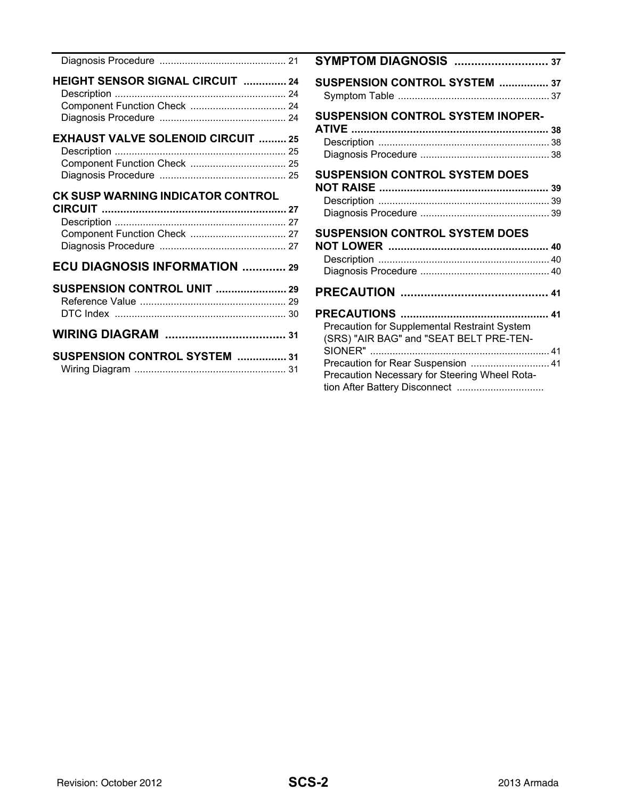| HEIGHT SENSOR SIGNAL CIRCUIT  24          |  |
|-------------------------------------------|--|
| <b>EXHAUST VALVE SOLENOID CIRCUIT  25</b> |  |
| <b>CK SUSP WARNING INDICATOR CONTROL</b>  |  |
| <b>ECU DIAGNOSIS INFORMATION  29</b>      |  |
| SUSPENSION CONTROL UNIT  29               |  |
|                                           |  |
| SUSPENSION CONTROL SYSTEM  31             |  |

| <b>SYMPTOM DIAGNOSIS </b> 37                                                            |  |
|-----------------------------------------------------------------------------------------|--|
| SUSPENSION CONTROL SYSTEM  37                                                           |  |
| <b>SUSPENSION CONTROL SYSTEM INOPER-</b>                                                |  |
| <b>SUSPENSION CONTROL SYSTEM DOES</b>                                                   |  |
|                                                                                         |  |
| <b>SUSPENSION CONTROL SYSTEM DOES</b>                                                   |  |
|                                                                                         |  |
| Precaution for Supplemental Restraint System<br>(SRS) "AIR BAG" and "SEAT BELT PRE-TEN- |  |

÷.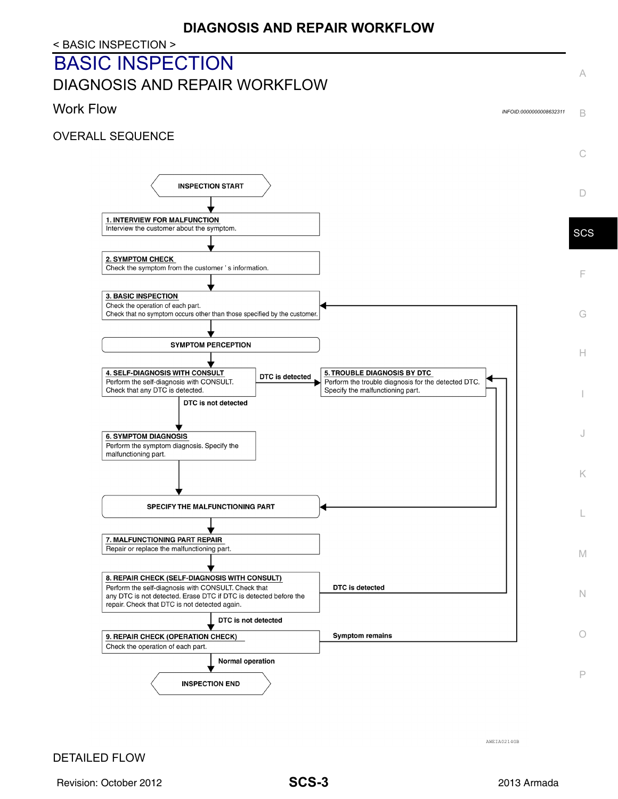< BASIC INSPECTION >

## <span id="page-2-1"></span><span id="page-2-0"></span>BASIC INSPECTION DIAGNOSIS AND REPAIR WORKFLOW

### <span id="page-2-2"></span>Work Flow *INFOID:0000000008632311*

### OVERALL SEQUENCE



AWEIA0214GB

DETAILED FLOW

A

B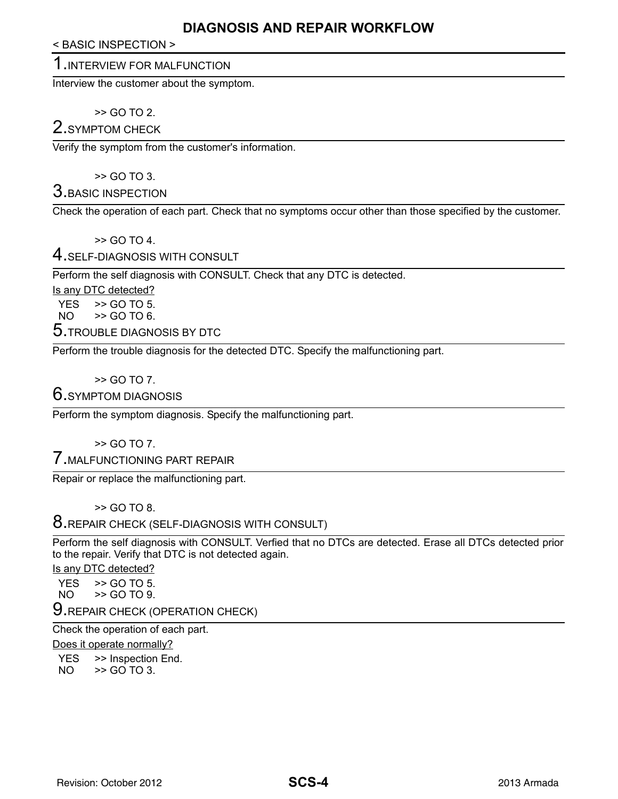### **DIAGNOSIS AND REPAIR WORKFLOW**

< BASIC INSPECTION >

### 1.INTERVIEW FOR MALFUNCTION

Interview the customer about the symptom.

### >> GO TO 2.

### 2.SYMPTOM CHECK

Verify the symptom from the customer's information.

#### $>$  GO TO 3.

3.BASIC INSPECTION

Check the operation of each part. Check that no symptoms occur other than those specified by the customer.

>> GO TO 4.

4.SELF-DIAGNOSIS WITH CONSULT

Perform the self diagnosis with CONSULT. Check that any DTC is detected.

Is any DTC detected?

YES >> GO TO 5.<br>NO >> GO TO 6.  $>>$  GO TO 6.

5.TROUBLE DIAGNOSIS BY DTC

Perform the trouble diagnosis for the detected DTC. Specify the malfunctioning part.

>> GO TO 7.

### 6.SYMPTOM DIAGNOSIS

Perform the symptom diagnosis. Specify the malfunctioning part.

>> GO TO 7.

7.MALFUNCTIONING PART REPAIR

Repair or replace the malfunctioning part.

>> GO TO 8.

8.REPAIR CHECK (SELF-DIAGNOSIS WITH CONSULT)

Perform the self diagnosis with CONSULT. Verfied that no DTCs are detected. Erase all DTCs detected prior to the repair. Verify that DTC is not detected again.

Is any DTC detected?

YES  $>>$  GO TO 5.<br>NO  $>>$  GO TO 9. >> GO TO 9.

**9.** REPAIR CHECK (OPERATION CHECK)

Check the operation of each part. Does it operate normally?

YES >> Inspection End.

 $NO \rightarrow$  SO TO 3.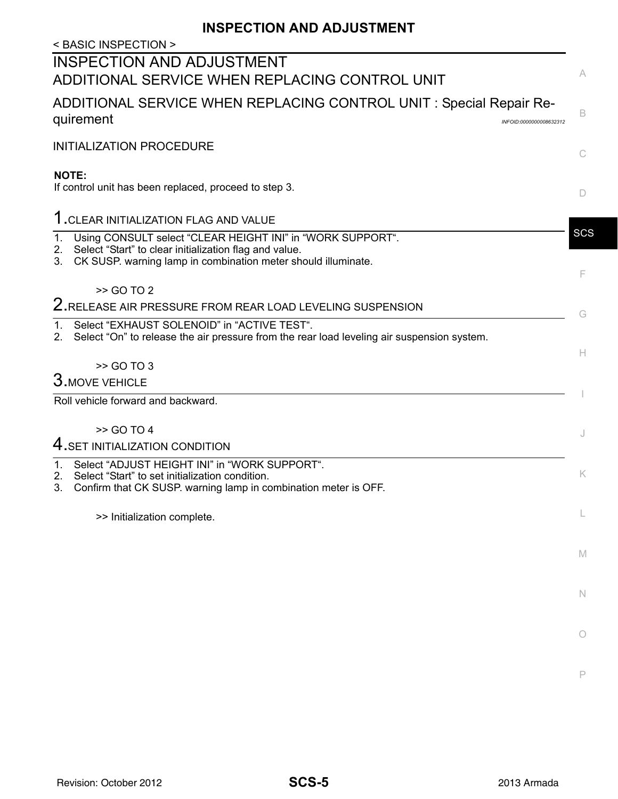### **INSPECTION AND ADJUSTMENT**

<span id="page-4-2"></span><span id="page-4-1"></span><span id="page-4-0"></span>

| < BASIC INSPECTION >                                                                                                             |             |
|----------------------------------------------------------------------------------------------------------------------------------|-------------|
| <b>INSPECTION AND ADJUSTMENT</b>                                                                                                 |             |
| ADDITIONAL SERVICE WHEN REPLACING CONTROL UNIT                                                                                   | A           |
| ADDITIONAL SERVICE WHEN REPLACING CONTROL UNIT: Special Repair Re-                                                               |             |
| quirement<br>INFOID:0000000008632312                                                                                             |             |
| <b>INITIALIZATION PROCEDURE</b>                                                                                                  | С           |
|                                                                                                                                  |             |
| <b>NOTE:</b><br>If control unit has been replaced, proceed to step 3.                                                            | D           |
|                                                                                                                                  |             |
| 1. CLEAR INITIALIZATION FLAG AND VALUE                                                                                           |             |
| Using CONSULT select "CLEAR HEIGHT INI" in "WORK SUPPORT".<br>1.<br>Select "Start" to clear initialization flag and value.<br>2. | <b>SCS</b>  |
| CK SUSP. warning lamp in combination meter should illuminate.<br>3.                                                              |             |
|                                                                                                                                  |             |
| >> GO TO 2<br>2. RELEASE AIR PRESSURE FROM REAR LOAD LEVELING SUSPENSION                                                         |             |
| Select "EXHAUST SOLENOID" in "ACTIVE TEST".<br>1.                                                                                |             |
| Select "On" to release the air pressure from the rear load leveling air suspension system.<br>2.                                 |             |
|                                                                                                                                  | н           |
| >> GO TO 3<br>3. MOVE VEHICLE                                                                                                    |             |
| Roll vehicle forward and backward.                                                                                               |             |
|                                                                                                                                  |             |
| >> GO TO 4                                                                                                                       |             |
| $4.$ SET INITIALIZATION CONDITION                                                                                                |             |
| Select "ADJUST HEIGHT INI" in "WORK SUPPORT".<br>Select "Start" to set initialization condition.<br>2.                           | Κ           |
| 3.<br>Confirm that CK SUSP. warning lamp in combination meter is OFF.                                                            |             |
|                                                                                                                                  |             |
| >> Initialization complete.                                                                                                      |             |
|                                                                                                                                  |             |
|                                                                                                                                  | M           |
|                                                                                                                                  |             |
|                                                                                                                                  | $\mathbb N$ |
|                                                                                                                                  |             |
|                                                                                                                                  | $\bigcirc$  |
|                                                                                                                                  |             |
|                                                                                                                                  | Р           |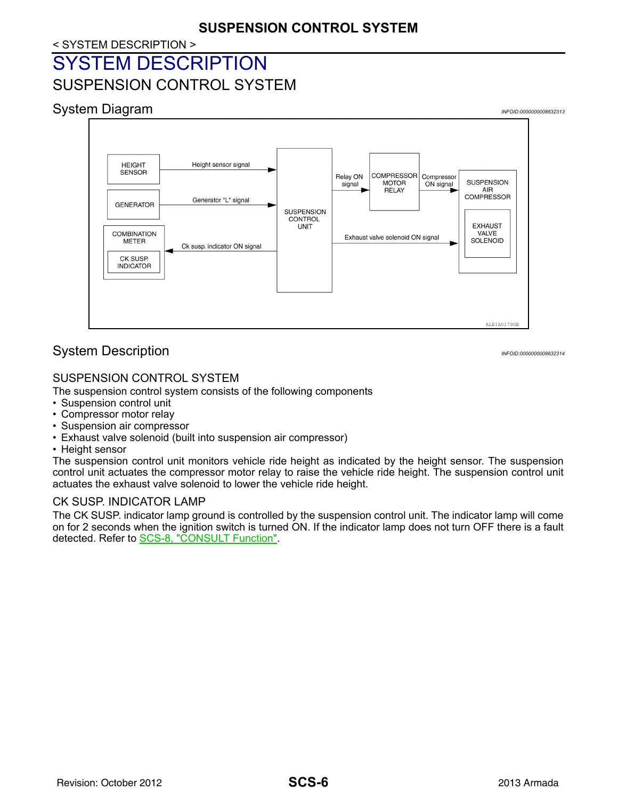#### < SYSTEM DESCRIPTION >

### <span id="page-5-1"></span><span id="page-5-0"></span>SYSTEM DESCRIPTION SUSPENSION CONTROL SYSTEM

### <span id="page-5-2"></span>System Diagram *Information* and the system of the system of the system of the system of the system of the system of the system of the system of the system of the system of the system of the system of the system of the sys



### <span id="page-5-3"></span>System Description **International Contract of the Contract of the Contract of the Contract of the Contract of the Contract of the Contract of the Contract of the Contract of the Contract of the Contract of the Contract of**

### SUSPENSION CONTROL SYSTEM

The suspension control system consists of the following components

- Suspension control unit
- Compressor motor relay
- Suspension air compressor
- Exhaust valve solenoid (built into suspension air compressor)
- Height sensor

The suspension control unit monitors vehicle ride height as indicated by the height sensor. The suspension control unit actuates the compressor motor relay to raise the vehicle ride height. The suspension control unit actuates the exhaust valve solenoid to lower the vehicle ride height.

#### CK SUSP. INDICATOR LAMP

The CK SUSP. indicator lamp ground is controlled by the suspension control unit. The indicator lamp will come on for 2 seconds when the ignition switch is turned ON. If the indicator lamp does not turn OFF there is a fault detected. Refer to [SCS-8, "CONSULT Function".](#page-7-1)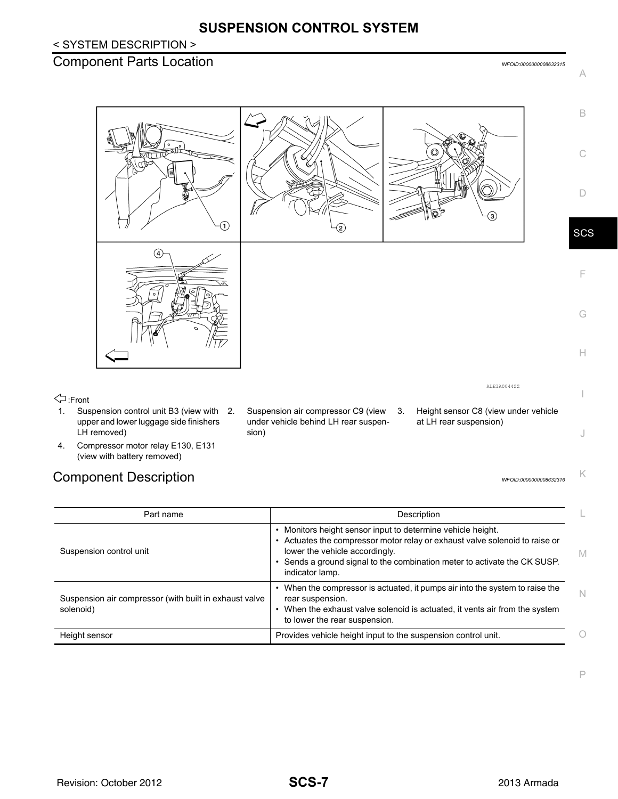### < SYSTEM DESCRIPTION >

### <span id="page-6-0"></span>Component Parts Location *INFOID:000000008632315*







#### :Front

- 1. Suspension control unit B3 (view with upper and lower luggage side finishers LH removed)
- 4. Compressor motor relay E130, E131 (view with battery removed)

### <span id="page-6-1"></span>**Component Description** *INFOID:000000008632316*

Suspension air compressor C9 (view 3. under vehicle behind LH rear suspension)

Height sensor C8 (view under vehicle at LH rear suspension)

J

K

| Part name                                                           | Description                                                                                                                                                                                                                                                            |   |
|---------------------------------------------------------------------|------------------------------------------------------------------------------------------------------------------------------------------------------------------------------------------------------------------------------------------------------------------------|---|
| Suspension control unit                                             | Monitors height sensor input to determine vehicle height.<br>Actuates the compressor motor relay or exhaust valve solenoid to raise or<br>lower the vehicle accordingly.<br>Sends a ground signal to the combination meter to activate the CK SUSP.<br>indicator lamp. | M |
| Suspension air compressor (with built in exhaust valve<br>solenoid) | When the compressor is actuated, it pumps air into the system to raise the<br>rear suspension.<br>When the exhaust valve solenoid is actuated, it vents air from the system<br>to lower the rear suspension.                                                           | N |
| Height sensor                                                       | Provides vehicle height input to the suspension control unit.                                                                                                                                                                                                          |   |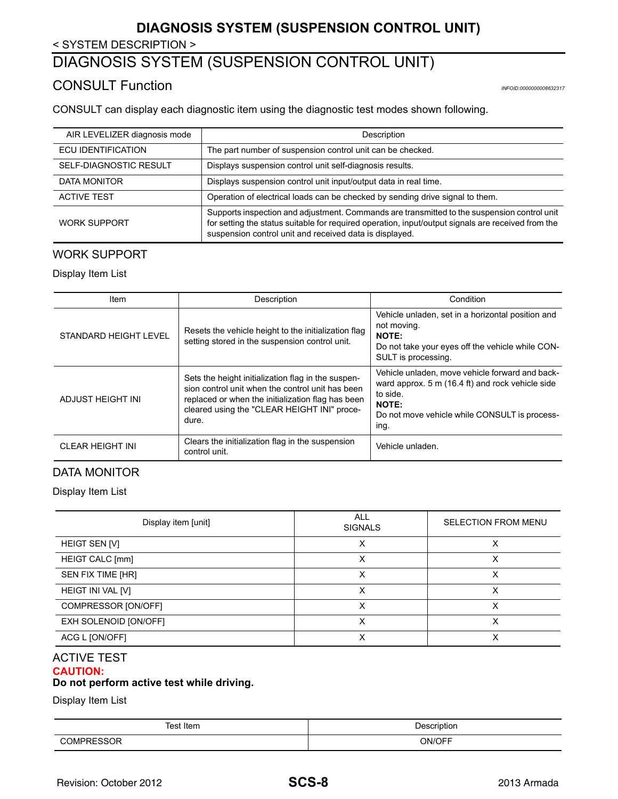### **DIAGNOSIS SYSTEM (SUSPENSION CONTROL UNIT)**

#### < SYSTEM DESCRIPTION >

### <span id="page-7-0"></span>DIAGNOSIS SYSTEM (SUSPENSION CONTROL UNIT)

### <span id="page-7-1"></span>CONSULT Function *INFOID:0000000008632317*

CONSULT can display each diagnostic item using the diagnostic test modes shown following.

| AIR LEVELIZER diagnosis mode | Description                                                                                                                                                                                                                                                  |
|------------------------------|--------------------------------------------------------------------------------------------------------------------------------------------------------------------------------------------------------------------------------------------------------------|
| ECU IDENTIFICATION           | The part number of suspension control unit can be checked.                                                                                                                                                                                                   |
| SELF-DIAGNOSTIC RESULT       | Displays suspension control unit self-diagnosis results.                                                                                                                                                                                                     |
| DATA MONITOR                 | Displays suspension control unit input/output data in real time.                                                                                                                                                                                             |
| <b>ACTIVE TEST</b>           | Operation of electrical loads can be checked by sending drive signal to them.                                                                                                                                                                                |
| <b>WORK SUPPORT</b>          | Supports inspection and adjustment. Commands are transmitted to the suspension control unit<br>for setting the status suitable for required operation, input/output signals are received from the<br>suspension control unit and received data is displayed. |

#### WORK SUPPORT

#### Display Item List

| Item                    | Description                                                                                                                                                                                                         | Condition                                                                                                                                                                         |
|-------------------------|---------------------------------------------------------------------------------------------------------------------------------------------------------------------------------------------------------------------|-----------------------------------------------------------------------------------------------------------------------------------------------------------------------------------|
| STANDARD HEIGHT LEVEL   | Resets the vehicle height to the initialization flag<br>setting stored in the suspension control unit.                                                                                                              | Vehicle unladen, set in a horizontal position and<br>not moving.<br><b>NOTE:</b><br>Do not take your eyes off the vehicle while CON-<br>SULT is processing.                       |
| ADJUST HEIGHT INI       | Sets the height initialization flag in the suspen-<br>sion control unit when the control unit has been<br>replaced or when the initialization flag has been<br>cleared using the "CLEAR HEIGHT INI" proce-<br>dure. | Vehicle unladen, move vehicle forward and back-<br>ward approx. 5 m (16.4 ft) and rock vehicle side<br>to side.<br>NOTE:<br>Do not move vehicle while CONSULT is process-<br>ing. |
| <b>CLEAR HEIGHT INI</b> | Clears the initialization flag in the suspension<br>control unit.                                                                                                                                                   | Vehicle unladen.                                                                                                                                                                  |

### DATA MONITOR

Display Item List

| Display item [unit]   | <b>ALL</b><br><b>SIGNALS</b> | <b>SELECTION FROM MENU</b> |
|-----------------------|------------------------------|----------------------------|
| <b>HEIGT SEN [V]</b>  |                              |                            |
| HEIGT CALC [mm]       | х                            | х                          |
| SEN FIX TIME [HR]     | x                            | x                          |
| HEIGT INI VAL [V]     |                              |                            |
| COMPRESSOR [ON/OFF]   | х                            | ᄉ                          |
| EXH SOLENOID [ON/OFF] | x                            | x                          |
| ACG L [ON/OFF]        |                              |                            |

#### ACTIVE TEST

#### **CAUTION:**

#### **Do not perform active test while driving.**

Display Item List

| Test Item  | Description |
|------------|-------------|
| COMPRESSOR | ON/OFF      |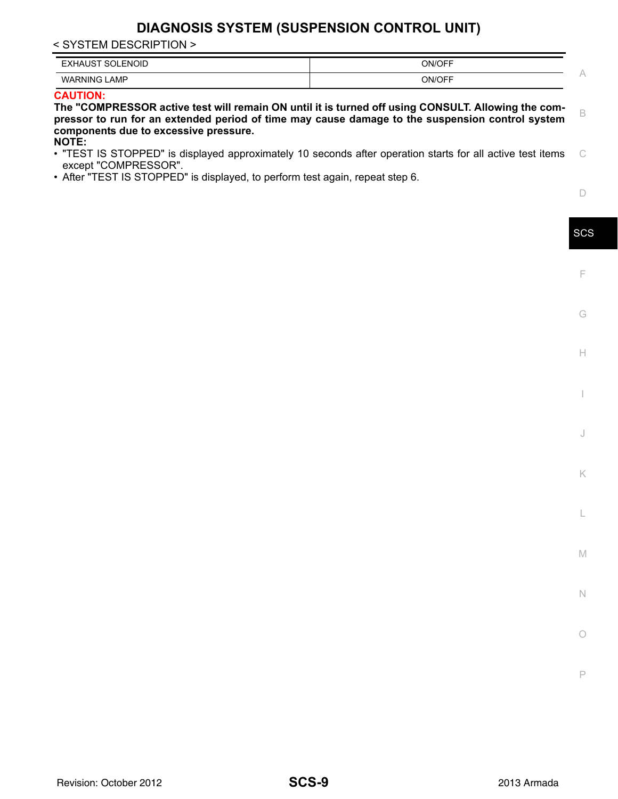### **DIAGNOSIS SYSTEM (SUSPENSION CONTROL UNIT)**

#### < SYSTEM DESCRIPTION >

| <b>SOLENOID</b><br>≚HAUS⊤ | ON/OFF |  |
|---------------------------|--------|--|
| . LAMP<br>RNINO           | ON/OFF |  |

**CAUTION:**

**The "COMPRESSOR active test will remain ON until it is turned off using CONSULT. Allowing the compressor to run for an extended period of time may cause damage to the suspension control system components due to excessive pressure.** 

**NOTE:**

- C • "TEST IS STOPPED" is displayed approximately 10 seconds after operation starts for all active test items except "COMPRESSOR".
- After "TEST IS STOPPED" is displayed, to perform test again, repeat step 6.

 $\Box$ 

B

F

G

H

I

J

K

L

M

N

O

P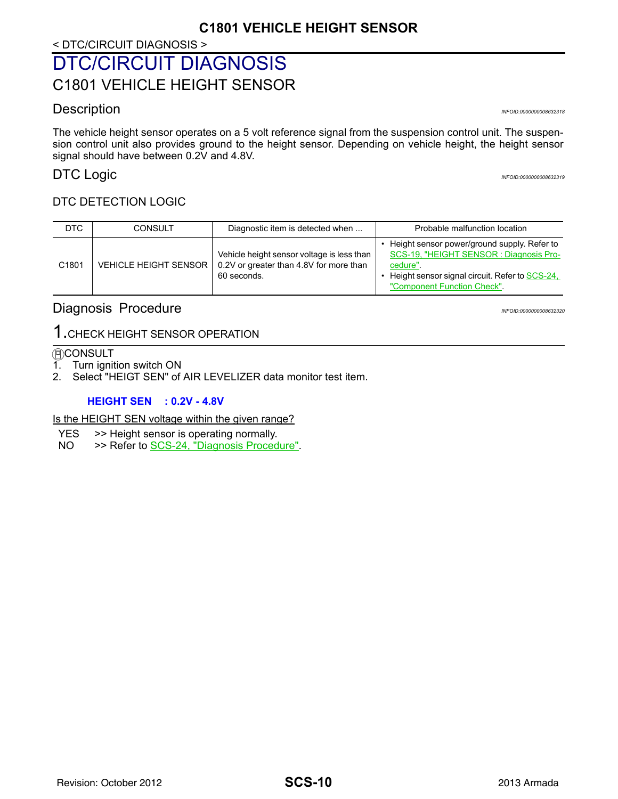### <span id="page-9-1"></span><span id="page-9-0"></span>DTC/CIRCUIT DIAGNOSIS C1801 VEHICLE HEIGHT SENSOR

### <span id="page-9-2"></span>Description *INFOID:0000000008632318*

The vehicle height sensor operates on a 5 volt reference signal from the suspension control unit. The suspension control unit also provides ground to the height sensor. Depending on vehicle height, the height sensor signal should have between 0.2V and 4.8V.

### <span id="page-9-3"></span>DTC Logic *INFOID:0000000008632319*

### DTC DETECTION LOGIC

| <b>DTC</b>        | <b>CONSULT</b>               | Diagnostic item is detected when                                                                     | Probable malfunction location                                                                                                                                                    |
|-------------------|------------------------------|------------------------------------------------------------------------------------------------------|----------------------------------------------------------------------------------------------------------------------------------------------------------------------------------|
| C <sub>1801</sub> | <b>VEHICLE HEIGHT SENSOR</b> | Vehicle height sensor voltage is less than<br>0.2V or greater than 4.8V for more than<br>60 seconds. | Height sensor power/ground supply. Refer to<br>SCS-19, "HEIGHT SENSOR: Diagnosis Pro-<br>cedure"<br>Height sensor signal circuit. Refer to SCS-24.<br>"Component Function Check" |

### <span id="page-9-4"></span>Diagnosis Procedure **Information** *INFOID:00000008632320*

### 1.CHECK HEIGHT SENSOR OPERATION

**MCONSULT** 

- 1. Turn ignition switch ON<br>2. Select "HEIGT SEN" of
- Select "HEIGT SEN" of AIR LEVELIZER data monitor test item.

#### **HEIGHT SEN : 0.2V - 4.8V**

#### Is the HEIGHT SEN voltage within the given range?

- YES >> Height sensor is operating normally.
- NO >> Refer to [SCS-24, "Diagnosis Procedure"](#page-23-3).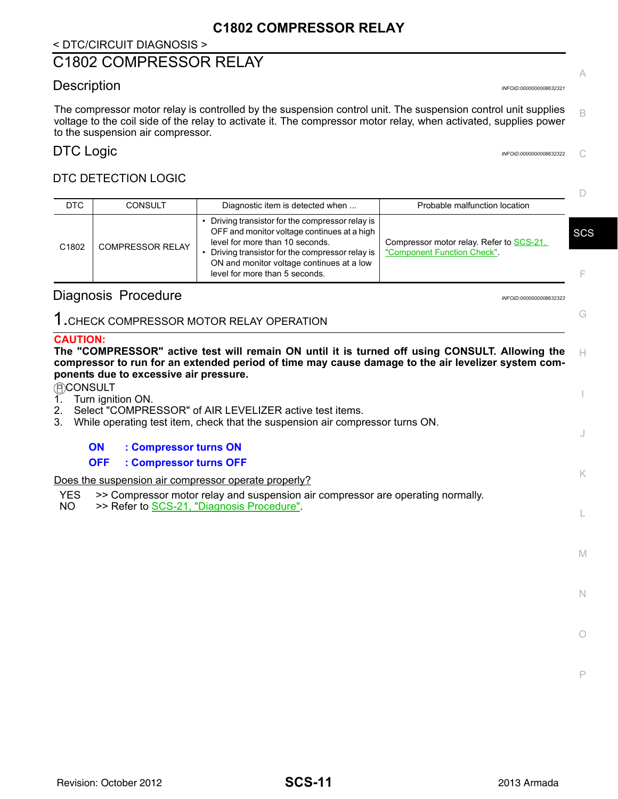### <span id="page-10-0"></span>C1802 COMPRESSOR RELAY

### <span id="page-10-1"></span>Description *INFOID:0000000008632321*

B The compressor motor relay is controlled by the suspension control unit. The suspension control unit supplies voltage to the coil side of the relay to activate it. The compressor motor relay, when activated, supplies power to the suspension air compressor.

### <span id="page-10-2"></span>DTC Logic *INFOID:0000000008632322*

### DTC DETECTION LOGIC

| <b>DTC</b>        | <b>CONSULT</b>          | Diagnostic item is detected when                                                                                                                                                                                                                                  | Probable malfunction location                                         |            |
|-------------------|-------------------------|-------------------------------------------------------------------------------------------------------------------------------------------------------------------------------------------------------------------------------------------------------------------|-----------------------------------------------------------------------|------------|
| C <sub>1802</sub> | <b>COMPRESSOR RELAY</b> | Driving transistor for the compressor relay is<br>OFF and monitor voltage continues at a high<br>level for more than 10 seconds.<br>Driving transistor for the compressor relay is<br>ON and monitor voltage continues at a low<br>level for more than 5 seconds. | Compressor motor relay. Refer to SCS-21<br>"Component Function Check" | <b>SCS</b> |

### <span id="page-10-3"></span>Diagnosis Procedure **Information** *INFOID:000000008632323*

1.CHECK COMPRESSOR MOTOR RELAY OPERATION

#### **CAUTION:**

H **The "COMPRESSOR" active test will remain ON until it is turned off using CONSULT. Allowing the compressor to run for an extended period of time may cause damage to the air levelizer system components due to excessive air pressure.**

*CONSULT*<br>1. Turn ignit

- Turn ignition ON.
- 2. Select "COMPRESSOR" of AIR LEVELIZER active test items.
- 3. While operating test item, check that the suspension air compressor turns ON.

**ON : Compressor turns ON**

#### **OFF : Compressor turns OFF**

#### Does the suspension air compressor operate properly?

- YES >> Compressor motor relay and suspension air compressor are operating normally.
- NO >> Refer to [SCS-21, "Diagnosis Procedure"](#page-20-3).

A

C

 $\Box$ 

G

I

J

K

L

M

N

O

P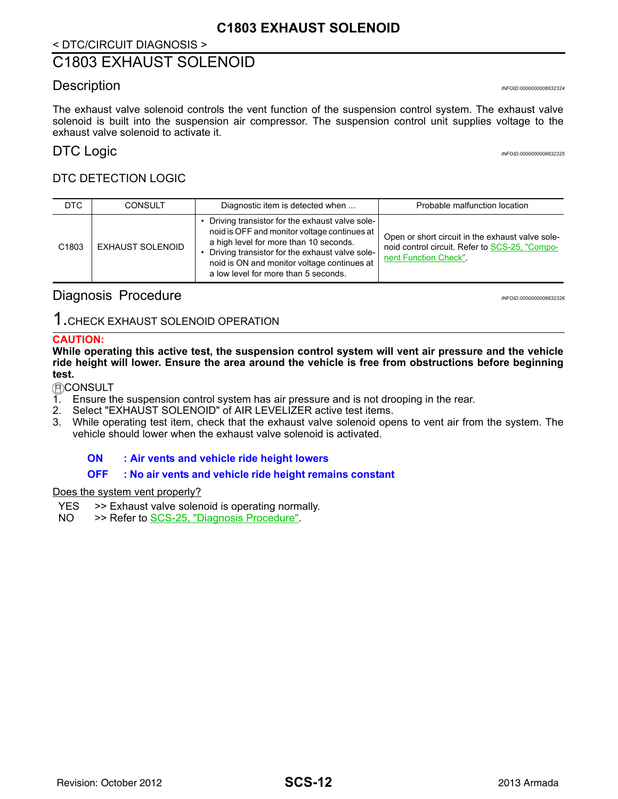### <span id="page-11-0"></span>C1803 EXHAUST SOLENOID

### <span id="page-11-1"></span>Description *INFOID:0000000008632324*

The exhaust valve solenoid controls the vent function of the suspension control system. The exhaust valve solenoid is built into the suspension air compressor. The suspension control unit supplies voltage to the exhaust valve solenoid to activate it.

### <span id="page-11-2"></span>DTC Logic *INFOID:0000000008632325*

### DTC DETECTION LOGIC

| DTC               | <b>CONSULT</b>          | Diagnostic item is detected when                                                                                                                                                                                                                                                    | Probable malfunction location                                                                                              |
|-------------------|-------------------------|-------------------------------------------------------------------------------------------------------------------------------------------------------------------------------------------------------------------------------------------------------------------------------------|----------------------------------------------------------------------------------------------------------------------------|
| C <sub>1803</sub> | <b>EXHAUST SOLENOID</b> | • Driving transistor for the exhaust valve sole-<br>noid is OFF and monitor voltage continues at<br>a high level for more than 10 seconds.<br>Driving transistor for the exhaust valve sole-<br>noid is ON and monitor voltage continues at<br>a low level for more than 5 seconds. | Open or short circuit in the exhaust valve sole-<br>noid control circuit. Refer to SCS-25, "Compo-<br>nent Function Check" |

### <span id="page-11-3"></span>Diagnosis Procedure **Information** *INFOID:00000008632326*

### 1.CHECK EXHAUST SOLENOID OPERATION

#### **CAUTION:**

**While operating this active test, the suspension control system will vent air pressure and the vehicle ride height will lower. Ensure the area around the vehicle is free from obstructions before beginning test.** 

CONSULT

- 1. Ensure the suspension control system has air pressure and is not drooping in the rear.
- 2. Select "EXHAUST SOLENOID" of AIR LEVELIZER active test items.
- 3. While operating test item, check that the exhaust valve solenoid opens to vent air from the system. The vehicle should lower when the exhaust valve solenoid is activated.

**ON : Air vents and vehicle ride height lowers**

#### **OFF : No air vents and vehicle ride height remains constant**

#### Does the system vent properly?

- YES >> Exhaust valve solenoid is operating normally.
- NO >> Refer to [SCS-25, "Diagnosis Procedure"](#page-24-3).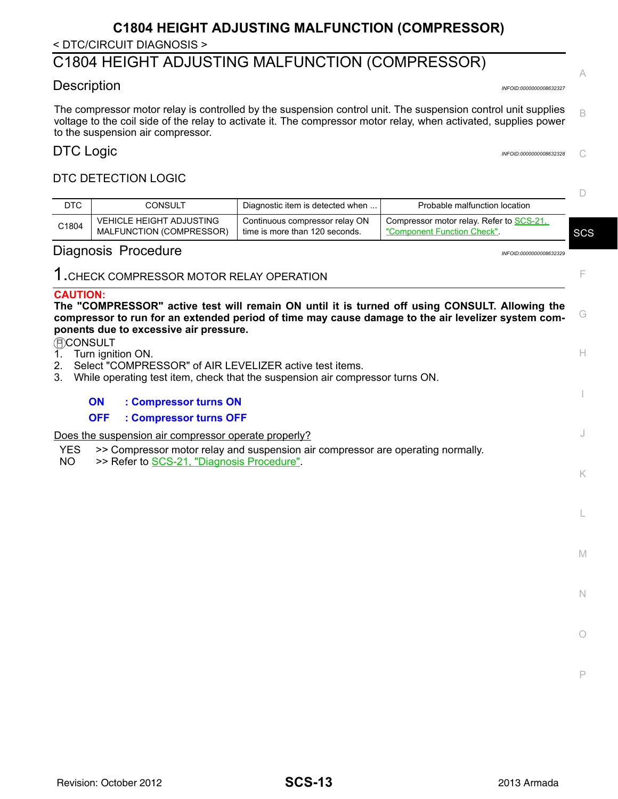### **C1804 HEIGHT ADJUSTING MALFUNCTION (COMPRESSOR)**

#### < DTC/CIRCUIT DIAGNOSIS >

### <span id="page-12-0"></span>C1804 HEIGHT ADJUSTING MALFUNCTION (COMPRESSOR)

### <span id="page-12-1"></span>Description *INFOID:0000000008632327*

The compressor motor relay is controlled by the suspension control unit. The suspension control unit supplies voltage to the coil side of the relay to activate it. The compressor motor relay, when activated, supplies power to the suspension air compressor.

### <span id="page-12-2"></span>DTC Logic *INFOID:0000000008632328*

### DTC DETECTION LOGIC

| DTC   | CONSULT                                                     | Diagnostic item is detected when                                 | Probable malfunction location                                           |            |
|-------|-------------------------------------------------------------|------------------------------------------------------------------|-------------------------------------------------------------------------|------------|
| C1804 | <b>VEHICLE HEIGHT ADJUSTING</b><br>MALFUNCTION (COMPRESSOR) | Continuous compressor relay ON<br>time is more than 120 seconds. | Compressor motor relay. Refer to SCS-21.<br>"Component Function Check". | <b>SCS</b> |

### <span id="page-12-3"></span>Diagnosis Procedure **International Contract Contract Contract Contract Contract Contract Contract Contract Contract Contract Contract Contract Contract Contract Contract Contract Contract Contract Contract Contract Contrac**

### 1.CHECK COMPRESSOR MOTOR RELAY OPERATION

#### **CAUTION:**

G **The "COMPRESSOR" active test will remain ON until it is turned off using CONSULT. Allowing the compressor to run for an extended period of time may cause damage to the air levelizer system components due to excessive air pressure.**

**ACONSULT** 

- 1. Turn ignition ON.
- 2. Select "COMPRESSOR" of AIR LEVELIZER active test items.
- 3. While operating test item, check that the suspension air compressor turns ON.

#### **ON : Compressor turns ON**

#### **OFF : Compressor turns OFF**

Does the suspension air compressor operate properly?

- YES >> Compressor motor relay and suspension air compressor are operating normally.
- NO >> Refer to [SCS-21, "Diagnosis Procedure"](#page-20-3).

A

B

 $\subset$ 

 $\Box$ 

F

H

I

J

K

L

M

N

O

P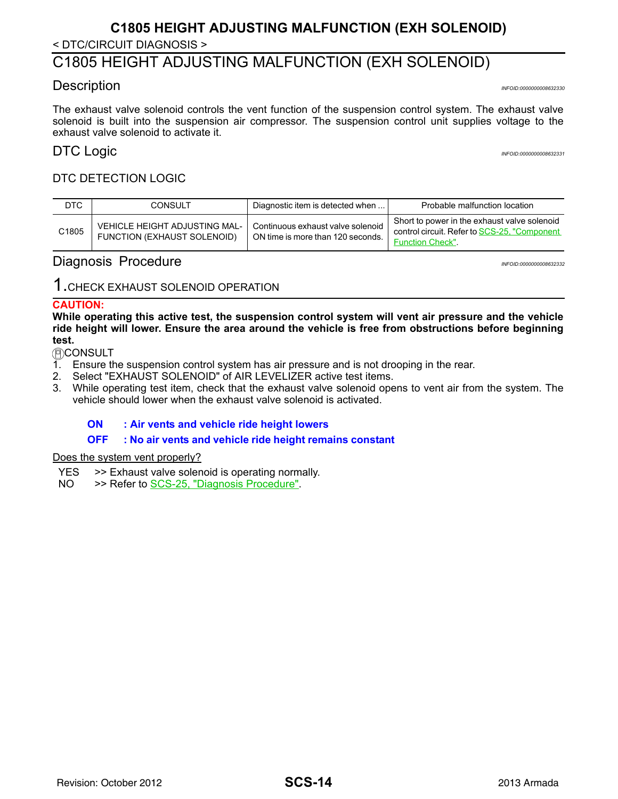### **C1805 HEIGHT ADJUSTING MALFUNCTION (EXH SOLENOID)**

#### < DTC/CIRCUIT DIAGNOSIS >

### <span id="page-13-0"></span>C1805 HEIGHT ADJUSTING MALFUNCTION (EXH SOLENOID)

### <span id="page-13-1"></span>Description *INFOID:0000000008632330*

The exhaust valve solenoid controls the vent function of the suspension control system. The exhaust valve solenoid is built into the suspension air compressor. The suspension control unit supplies voltage to the exhaust valve solenoid to activate it.

### <span id="page-13-2"></span>DTC Logic *INFOID:0000000008632331*

### DTC DETECTION LOGIC

| <b>DTC</b> | CONSULT                                                                    | Diagnostic item is detected when                                       | Probable malfunction location                                                                                           |
|------------|----------------------------------------------------------------------------|------------------------------------------------------------------------|-------------------------------------------------------------------------------------------------------------------------|
| C1805      | <b>VEHICLE HEIGHT ADJUSTING MAL-</b><br><b>FUNCTION (EXHAUST SOLENOID)</b> | Continuous exhaust valve solenoid<br>ON time is more than 120 seconds. | Short to power in the exhaust valve solenoid<br>control circuit. Refer to SCS-25, "Component<br><b>Function Check".</b> |

### <span id="page-13-3"></span>Diagnosis Procedure **Information** *INFOID:000000008632332*

### 1.CHECK EXHAUST SOLENOID OPERATION

#### **CAUTION:**

**While operating this active test, the suspension control system will vent air pressure and the vehicle ride height will lower. Ensure the area around the vehicle is free from obstructions before beginning test.** 

**(ACONSULT)** 

- 1. Ensure the suspension control system has air pressure and is not drooping in the rear.
- 2. Select "EXHAUST SOLENOID" of AIR LEVELIZER active test items.
- 3. While operating test item, check that the exhaust valve solenoid opens to vent air from the system. The vehicle should lower when the exhaust valve solenoid is activated.

**ON : Air vents and vehicle ride height lowers**

#### **OFF : No air vents and vehicle ride height remains constant**

#### Does the system vent properly?

- $YES$   $\Rightarrow$  Exhaust valve solenoid is operating normally.<br>NO  $\Rightarrow$  Refer to SCS-25 "Diagnosis Procedure"
- >> Refer to [SCS-25, "Diagnosis Procedure"](#page-24-3).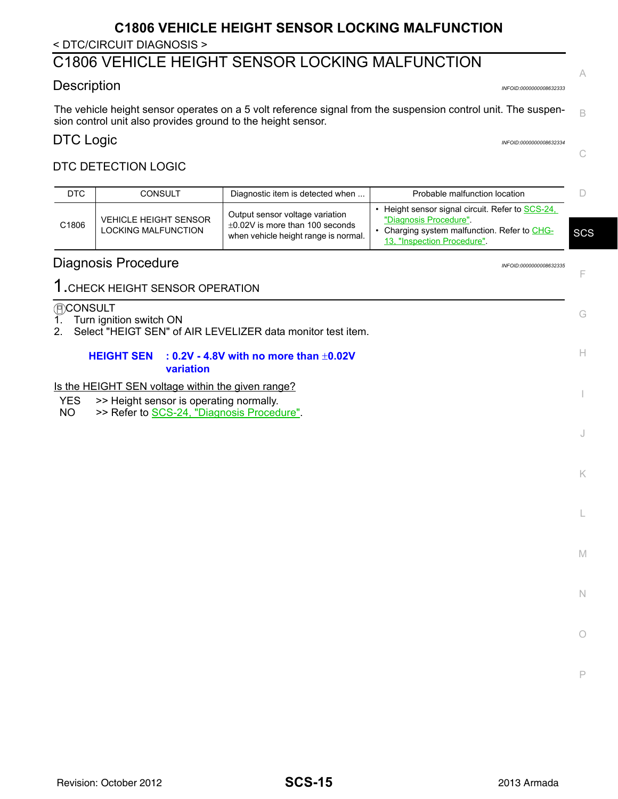### **C1806 VEHICLE HEIGHT SENSOR LOCKING MALFUNCTION**

#### < DTC/CIRCUIT DIAGNOSIS >

### <span id="page-14-0"></span>C1806 VEHICLE HEIGHT SENSOR LOCKING MALFUNCTION

### <span id="page-14-1"></span>Description *INFOID:0000000008632333*

B The vehicle height sensor operates on a 5 volt reference signal from the suspension control unit. The suspension control unit also provides ground to the height sensor.

### <span id="page-14-2"></span>DTC Logic *INFOID:0000000008632334*

C

A

F

G

H

I

J

K

L

M

N

O

P

### DTC DETECTION LOGIC

| DTC   | <b>CONSULT</b>                                             | Diagnostic item is detected when                                                                                 | Probable malfunction location                                                                                                                        |     |
|-------|------------------------------------------------------------|------------------------------------------------------------------------------------------------------------------|------------------------------------------------------------------------------------------------------------------------------------------------------|-----|
| C1806 | <b>VEHICLE HEIGHT SENSOR</b><br><b>LOCKING MALFUNCTION</b> | Output sensor voltage variation<br>$\pm 0.02$ V is more than 100 seconds<br>when vehicle height range is normal. | Height sensor signal circuit. Refer to SCS-24,<br>"Diagnosis Procedure".<br>Charging system malfunction. Refer to CHG-<br>13. "Inspection Procedure" | SCS |

### <span id="page-14-3"></span>Diagnosis Procedure **Integral of the Contract Oriental Contract of the CONDUCT OF THE OID:000000008632335**

### 1.CHECK HEIGHT SENSOR OPERATION

**CONSULT** 

1. Turn ignition switch ON

2. Select "HEIGT SEN" of AIR LEVELIZER data monitor test item.

#### **HEIGHT SEN : 0.2V - 4.8V with no more than** ±**0.02V variation**

Is the HEIGHT SEN voltage within the given range?

- YES >> Height sensor is operating normally.
- NO >> Refer to [SCS-24, "Diagnosis Procedure"](#page-23-3).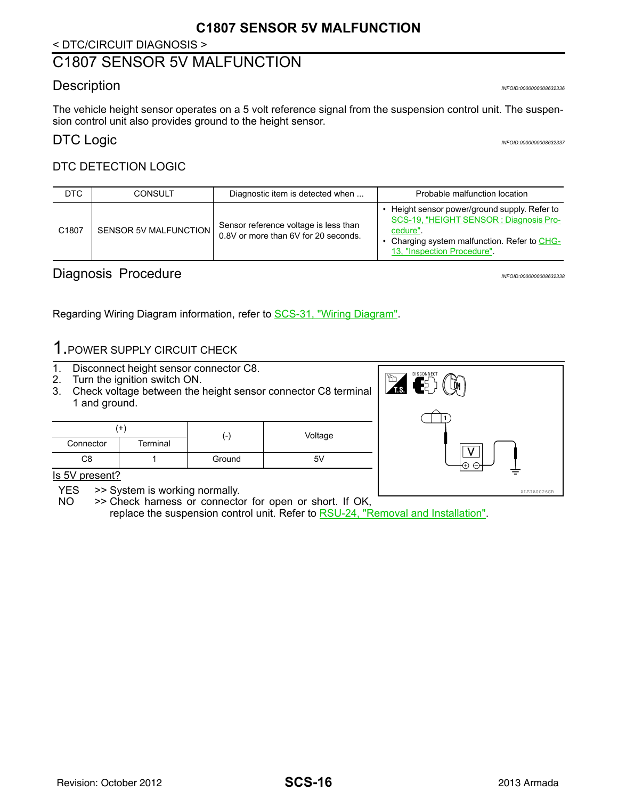### <span id="page-15-0"></span>C1807 SENSOR 5V MALFUNCTION

### <span id="page-15-1"></span>Description *INFOID:0000000008632336*

The vehicle height sensor operates on a 5 volt reference signal from the suspension control unit. The suspension control unit also provides ground to the height sensor.

### <span id="page-15-2"></span>DTC Logic *INFOID:0000000008632337*

### DTC DETECTION LOGIC

| <b>DTC</b> | <b>CONSULT</b>        | Diagnostic item is detected when                                              | Probable malfunction location                                                                                                                                                   |
|------------|-----------------------|-------------------------------------------------------------------------------|---------------------------------------------------------------------------------------------------------------------------------------------------------------------------------|
| C1807      | SENSOR 5V MALFUNCTION | Sensor reference voltage is less than<br>0.8V or more than 6V for 20 seconds. | Height sensor power/ground supply. Refer to<br>SCS-19, "HEIGHT SENSOR: Diagnosis Pro-<br>cedure".<br>• Charging system malfunction. Refer to CHG-<br>13, "Inspection Procedure" |

### <span id="page-15-3"></span>Diagnosis Procedure **Information** *INFOID:00000008632338***</mark>**

Regarding Wiring Diagram information, refer to [SCS-31, "Wiring Diagram"](#page-30-2).

### 1.POWER SUPPLY CIRCUIT CHECK

- 1. Disconnect height sensor connector C8.
- 2. Turn the ignition switch ON.
- 3. Check voltage between the height sensor connector C8 terminal 1 and ground.

|           |          | Voltage<br>۰ |    |
|-----------|----------|--------------|----|
| Connector | Terminal |              |    |
| C8        |          | Ground       | 5۱ |



#### Is 5V present?

YES >> System is working normally.

NO >> Check harness or connector for open or short. If OK, replace the suspension control unit. Refer to RSU-24, "Removal and Installation".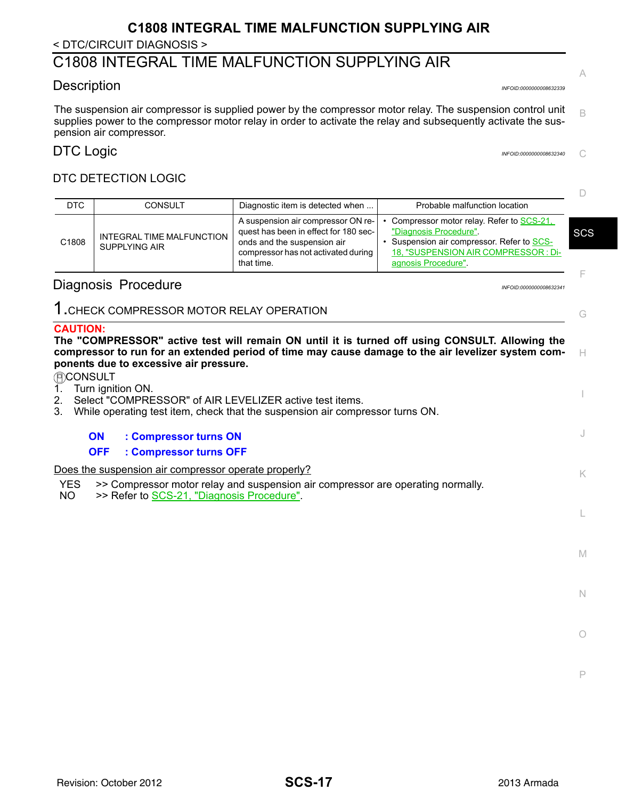### **C1808 INTEGRAL TIME MALFUNCTION SUPPLYING AIR**

#### < DTC/CIRCUIT DIAGNOSIS >

### <span id="page-16-0"></span>C1808 INTEGRAL TIME MALFUNCTION SUPPLYING AIR

### <span id="page-16-1"></span>Description *INFOID:0000000008632339*

B The suspension air compressor is supplied power by the compressor motor relay. The suspension control unit supplies power to the compressor motor relay in order to activate the relay and subsequently activate the suspension air compressor.

### <span id="page-16-2"></span>DTC Logic *INFOID:0000000008632340*

C

 $\Box$ 

A

G

I

J

K

L

M

N

O

P

### DTC DETECTION LOGIC

| DTC   | <b>CONSULT</b>                                    | Diagnostic item is detected when                                                                                                                                | Probable malfunction location                                                                                                                                               |            |
|-------|---------------------------------------------------|-----------------------------------------------------------------------------------------------------------------------------------------------------------------|-----------------------------------------------------------------------------------------------------------------------------------------------------------------------------|------------|
| C1808 | INTEGRAL TIME MALFUNCTION<br><b>SUPPLYING AIR</b> | A suspension air compressor ON re-<br>quest has been in effect for 180 sec-<br>onds and the suspension air<br>compressor has not activated during<br>that time. | Compressor motor relay. Refer to SCS-21.<br>"Diagnosis Procedure"<br>Suspension air compressor. Refer to SCS-<br>18, "SUSPENSION AIR COMPRESSOR : Di-<br>agnosis Procedure" | <b>SCS</b> |
|       |                                                   |                                                                                                                                                                 |                                                                                                                                                                             |            |

### <span id="page-16-3"></span>Diagnosis Procedure *INFOID:0000000008632341*

### 1.CHECK COMPRESSOR MOTOR RELAY OPERATION

#### **CAUTION:**

H **The "COMPRESSOR" active test will remain ON until it is turned off using CONSULT. Allowing the compressor to run for an extended period of time may cause damage to the air levelizer system components due to excessive air pressure.**

*ACONSULT*<br>1. Turn ignit

- Turn ignition ON.
- 2. Select "COMPRESSOR" of AIR LEVELIZER active test items.
- 3. While operating test item, check that the suspension air compressor turns ON.

### **ON : Compressor turns ON**

#### **OFF : Compressor turns OFF**

Does the suspension air compressor operate properly?

- YES >> Compressor motor relay and suspension air compressor are operating normally.
- NO >> Refer to [SCS-21, "Diagnosis Procedure"](#page-20-3).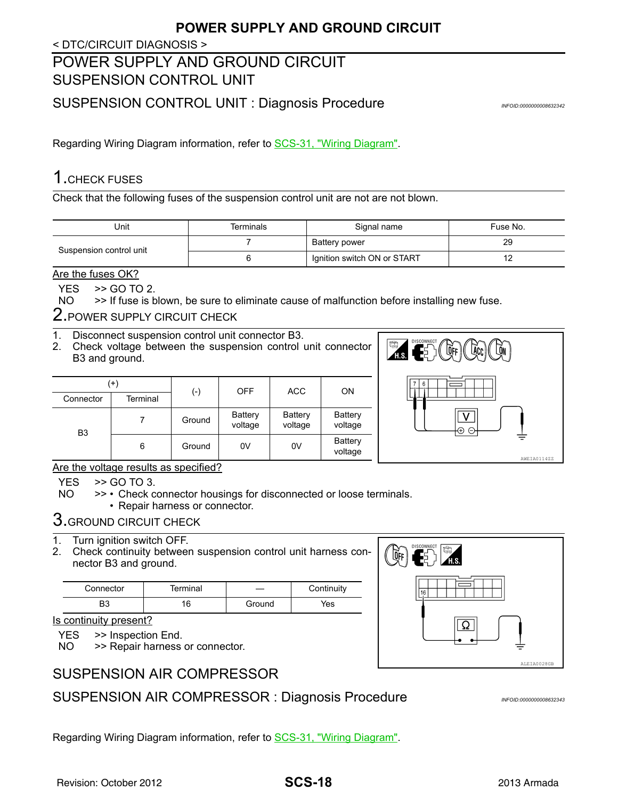### **POWER SUPPLY AND GROUND CIRCUIT**

< DTC/CIRCUIT DIAGNOSIS >

### <span id="page-17-1"></span><span id="page-17-0"></span>POWER SUPPLY AND GROUND CIRCUIT SUSPENSION CONTROL UNIT

<span id="page-17-2"></span>SUSPENSION CONTROL UNIT : Diagnosis Procedure *INFOID:000000008632342* 

Regarding Wiring Diagram information, refer to [SCS-31, "Wiring Diagram"](#page-30-2).

### 1.CHECK FUSES

Check that the following fuses of the suspension control unit are not are not blown.

| Jnit                    | <b>Ferminals</b> | Signal name                 | Fuse No. |
|-------------------------|------------------|-----------------------------|----------|
| Suspension control unit |                  | Battery power               | 29       |
|                         |                  | Ignition switch ON or START | . .      |

Are the fuses OK?

 $YES$   $>>$  GO TO 2.<br>NO  $>>$  If fuse is b

 $>>$  If fuse is blown, be sure to eliminate cause of malfunction before installing new fuse.

### 2. POWER SUPPLY CIRCUIT CHECK

- 1. Disconnect suspension control unit connector B3.
- 2. Check voltage between the suspension control unit connector B3 and ground.

|                | $(+)$    | (-)    | <b>OFF</b>                | <b>ACC</b>                | ON                        |
|----------------|----------|--------|---------------------------|---------------------------|---------------------------|
| Connector      | Terminal |        |                           |                           |                           |
| B <sub>3</sub> |          | Ground | <b>Battery</b><br>voltage | <b>Battery</b><br>voltage | <b>Battery</b><br>voltage |
|                | 6        | Ground | 0V                        | 0V                        | Battery<br>voltage        |



Are the voltage results as specified?

YES >> GO TO 3.

NO >> • Check connector housings for disconnected or loose terminals.

• Repair harness or connector.

### $3.$ GROUND CIRCUIT CHECK

1. Turn ignition switch OFF.

2. Check continuity between suspension control unit harness connector B3 and ground.

| Connector | Terminal |        | Continuity |
|-----------|----------|--------|------------|
| в3        | 16       | Ground | Yes        |

#### Is continuity present?

YES >> Inspection End.<br>NO >> Repair harness

>> Repair harness or connector.

### <span id="page-17-3"></span>SUSPENSION AIR COMPRESSOR

<span id="page-17-4"></span>SUSPENSION AIR COMPRESSOR : Diagnosis Procedure *INFOID:00000008632343* 

Regarding Wiring Diagram information, refer to [SCS-31, "Wiring Diagram"](#page-30-2).

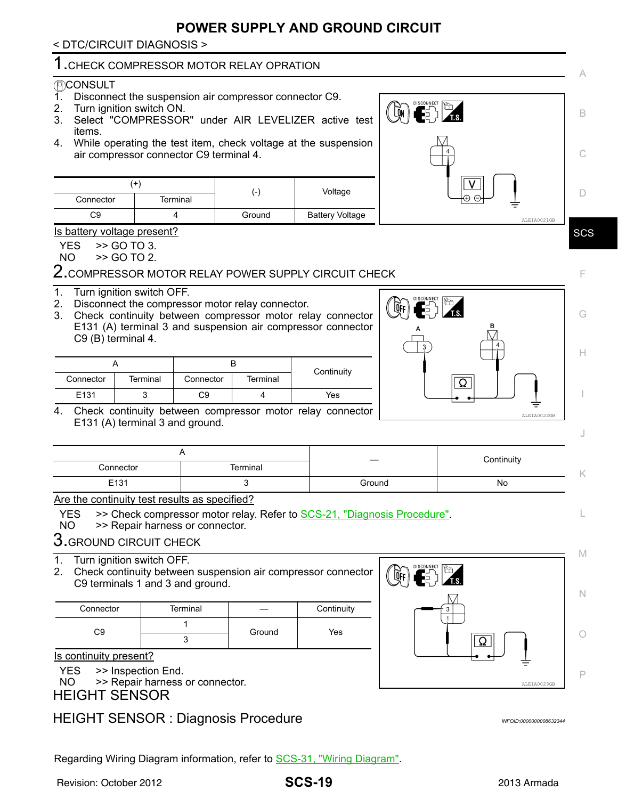### **POWER SUPPLY AND GROUND CIRCUIT**

#### < DTC/CIRCUIT DIAGNOSIS >

### 1.CHECK COMPRESSOR MOTOR RELAY OPRATION

#### **ACONSULT**

- 1. Disconnect the suspension air compressor connector C9.
- 2. Turn ignition switch ON.
- 3. Select "COMPRESSOR" under AIR LEVELIZER active test items.
- 4. While operating the test item, check voltage at the suspension air compressor connector C9 terminal 4.

|           | $+$      |        | Voltage                |                               |
|-----------|----------|--------|------------------------|-------------------------------|
| Connector | Terminal |        |                        | せ<br>$\overline{\phantom{a}}$ |
| C9        |          | Ground | <b>Battery Voltage</b> | ALEIA0021GE                   |

#### Is battery voltage present?

YES >> GO TO 3.<br>NO >> GO TO 2.

 $>>$  GO TO 2.

### 2. COMPRESSOR MOTOR RELAY POWER SUPPLY CIRCUIT CHECK

#### 1. Turn ignition switch OFF.

- 2. Disconnect the compressor motor relay connector.
- 3. Check continuity between compressor motor relay connector E131 (A) terminal 3 and suspension air compressor connector C9 (B) terminal 4.

|                  |          |           |          | Continuity |
|------------------|----------|-----------|----------|------------|
| Connector        | Terminal | Connector | Terminal |            |
| E <sub>131</sub> | ື        | C9        |          | Yes        |

4. Check continuity between compressor motor relay connector E131 (A) terminal 3 and ground.

| $\overline{\phantom{a}}$ |          |        | Continuitv |  |
|--------------------------|----------|--------|------------|--|
| Connector                | Terminal |        |            |  |
| E131                     |          | Ground | No         |  |

#### Are the continuity test results as specified?

- YES >> Check compressor motor relay. Refer to [SCS-21, "Diagnosis Procedure".](#page-20-3)
- NO >> Repair harness or connector.

### 3.GROUND CIRCUIT CHECK

- 1. Turn ignition switch OFF.
- 2. Check continuity between suspension air compressor connector C9 terminals 1 and 3 and ground.

| Connector | Terminal |        | Continuity |
|-----------|----------|--------|------------|
| C9        |          | Ground | Yes        |
|           | u        |        |            |

#### Is continuity present?

YES >> Inspection End.<br>NO >> Repair harness

>> Repair harness or connector.

<span id="page-18-0"></span>HEIGHT SENSOR

### <span id="page-18-1"></span>HEIGHT SENSOR : Diagnosis Procedure *Information and INFOID:000000008632344*

Regarding Wiring Diagram information, refer to [SCS-31, "Wiring Diagram"](#page-30-2).

### **SCS-19**





 $\mathbb{G}$   $\mathbb{E}$ 



F

 $\cap$ 

C

A

B

D

**SCS** 

H

I

J

K

L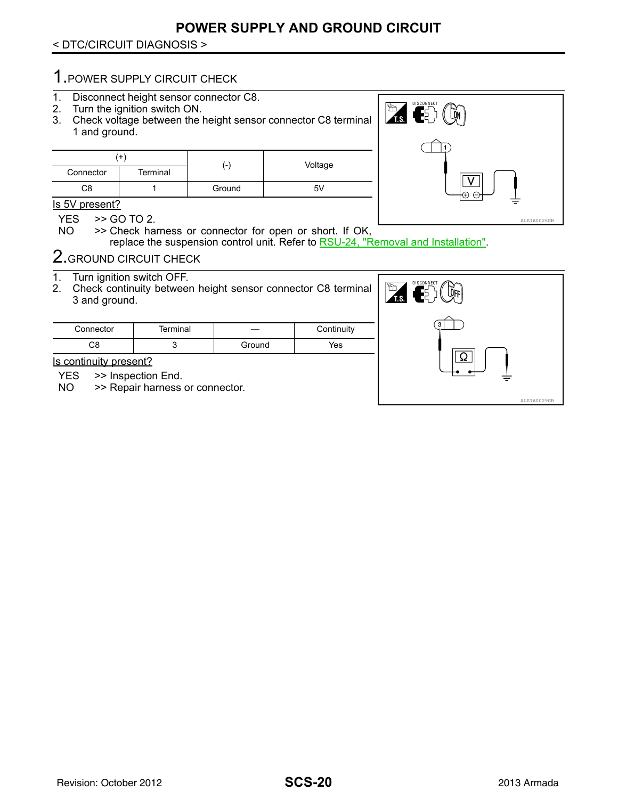### **POWER SUPPLY AND GROUND CIRCUIT**

#### < DTC/CIRCUIT DIAGNOSIS >

### 1.POWER SUPPLY CIRCUIT CHECK

- 1. Disconnect height sensor connector C8.
- 2. Turn the ignition switch ON.
- 3. Check voltage between the height sensor connector C8 terminal 1 and ground.

|           | $\ddot{}$ | $\overline{\phantom{0}}$ | Voltage |
|-----------|-----------|--------------------------|---------|
| Connector | Terminal  |                          |         |
| 38        |           | Ground                   | 5۷      |



#### Is 5V present?

YES >> GO TO 2.

NO >> Check harness or connector for open or short. If OK, replace the suspension control unit. Refer to RSU-24, "Removal and Installation".

### 2.GROUND CIRCUIT CHECK

- 1. Turn ignition switch OFF.
- 2. Check continuity between height sensor connector C8 terminal 3 and ground.

| Connector | Terminal | _      | Continuity |
|-----------|----------|--------|------------|
| С8        |          | Ground | Yes        |

#### Is continuity present?

- YES >> Inspection End.
- NO >> Repair harness or connector.

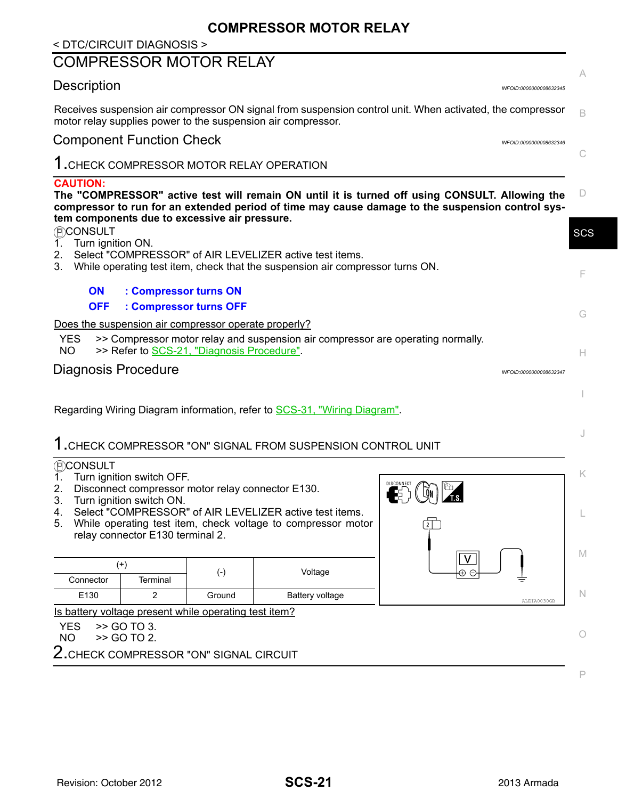### **COMPRESSOR MOTOR RELAY**

<span id="page-20-3"></span><span id="page-20-2"></span><span id="page-20-1"></span><span id="page-20-0"></span>

| < DTC/CIRCUIT DIAGNOSIS >                                                                                                                                                             |              |                                                                                 |                                                                                                                                                                                                    |          |
|---------------------------------------------------------------------------------------------------------------------------------------------------------------------------------------|--------------|---------------------------------------------------------------------------------|----------------------------------------------------------------------------------------------------------------------------------------------------------------------------------------------------|----------|
| <b>COMPRESSOR MOTOR RELAY</b>                                                                                                                                                         |              |                                                                                 |                                                                                                                                                                                                    | А        |
| Description                                                                                                                                                                           |              |                                                                                 | INFOID:0000000008632345                                                                                                                                                                            |          |
| motor relay supplies power to the suspension air compressor.                                                                                                                          |              |                                                                                 | Receives suspension air compressor ON signal from suspension control unit. When activated, the compressor                                                                                          | B        |
| <b>Component Function Check</b>                                                                                                                                                       |              |                                                                                 | INFOID:0000000008632346                                                                                                                                                                            |          |
| 1. CHECK COMPRESSOR MOTOR RELAY OPERATION                                                                                                                                             |              |                                                                                 |                                                                                                                                                                                                    | G        |
| <b>CAUTION:</b><br>tem components due to excessive air pressure.<br><b>ACONSULT</b><br>Turn ignition ON.<br>1.<br>Select "COMPRESSOR" of AIR LEVELIZER active test items.<br>2.<br>3. |              | While operating test item, check that the suspension air compressor turns ON.   | The "COMPRESSOR" active test will remain ON until it is turned off using CONSULT. Allowing the<br>compressor to run for an extended period of time may cause damage to the suspension control sys- | D<br>SCS |
| <b>ON</b><br>: Compressor turns ON                                                                                                                                                    |              |                                                                                 |                                                                                                                                                                                                    | F        |
| : Compressor turns OFF<br><b>OFF</b>                                                                                                                                                  |              |                                                                                 |                                                                                                                                                                                                    |          |
| Does the suspension air compressor operate properly?                                                                                                                                  |              |                                                                                 |                                                                                                                                                                                                    | G        |
| <b>YES</b><br>>> Refer to SCS-21, "Diagnosis Procedure".<br><b>NO</b>                                                                                                                 |              | >> Compressor motor relay and suspension air compressor are operating normally. |                                                                                                                                                                                                    | H        |
| Diagnosis Procedure                                                                                                                                                                   |              |                                                                                 | INFOID:0000000008632347                                                                                                                                                                            |          |
|                                                                                                                                                                                       |              |                                                                                 |                                                                                                                                                                                                    |          |
| Regarding Wiring Diagram information, refer to SCS-31, "Wiring Diagram".                                                                                                              |              |                                                                                 |                                                                                                                                                                                                    |          |
| $\mathsf 1.$ CHECK COMPRESSOR "ON" SIGNAL FROM SUSPENSION CONTROL UNIT                                                                                                                |              |                                                                                 |                                                                                                                                                                                                    |          |
| <b>ACONSULT</b>                                                                                                                                                                       |              |                                                                                 |                                                                                                                                                                                                    |          |
| Turn ignition switch OFF.                                                                                                                                                             |              |                                                                                 | DISCONNECT                                                                                                                                                                                         | Κ        |
| Disconnect compressor motor relay connector E130.<br>3.<br>Turn ignition switch ON.                                                                                                   |              |                                                                                 | $\bigoplus_{i=1}^{\infty}$ $\binom{n}{i}$                                                                                                                                                          |          |
| Select "COMPRESSOR" of AIR LEVELIZER active test items.<br>4.<br>5.<br>While operating test item, check voltage to compressor motor                                                   |              |                                                                                 |                                                                                                                                                                                                    |          |
| relay connector E130 terminal 2.                                                                                                                                                      |              |                                                                                 |                                                                                                                                                                                                    |          |
| $^{(+)}$                                                                                                                                                                              |              |                                                                                 |                                                                                                                                                                                                    | M        |
| Terminal<br>Connector                                                                                                                                                                 | $(\text{-})$ | Voltage                                                                         |                                                                                                                                                                                                    |          |
| 2<br>E130                                                                                                                                                                             | Ground       | Battery voltage                                                                 | ALEIA0030GE                                                                                                                                                                                        | N        |
| Is battery voltage present while operating test item?                                                                                                                                 |              |                                                                                 |                                                                                                                                                                                                    |          |
| >> GO TO 3.<br><b>YES</b><br><b>NO</b><br>>> GO TO 2.                                                                                                                                 |              |                                                                                 |                                                                                                                                                                                                    | O        |
| $2$ . CHECK COMPRESSOR "ON" SIGNAL CIRCUIT                                                                                                                                            |              |                                                                                 |                                                                                                                                                                                                    |          |
|                                                                                                                                                                                       |              |                                                                                 |                                                                                                                                                                                                    | P        |
|                                                                                                                                                                                       |              |                                                                                 |                                                                                                                                                                                                    |          |
|                                                                                                                                                                                       |              |                                                                                 |                                                                                                                                                                                                    |          |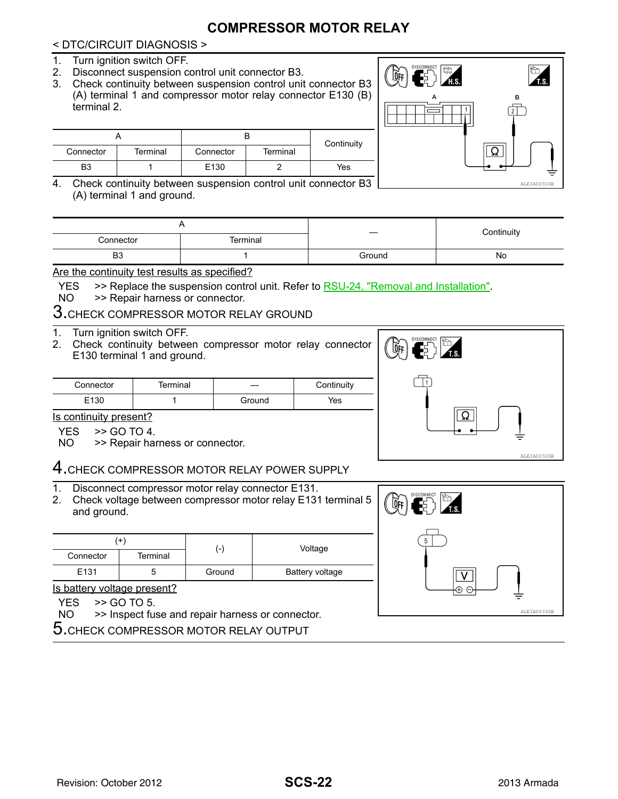### **COMPRESSOR MOTOR RELAY**

#### < DTC/CIRCUIT DIAGNOSIS >

- 1. Turn ignition switch OFF.
- 2. Disconnect suspension control unit connector B3.
- 3. Check continuity between suspension control unit connector B3 (A) terminal 1 and compressor motor relay connector E130 (B) terminal 2.

|   | <b>DISCONNECT</b><br>H.S. | T.S.        |
|---|---------------------------|-------------|
| ۰ | А                         | в           |
|   |                           | 52          |
|   |                           | ALEIA0031GB |

|           |          |           |          | Continuity |
|-----------|----------|-----------|----------|------------|
| Connector | Terminal | Connector | Terminal |            |
| B3        |          | E130      |          | Yes        |

4. Check continuity between suspension control unit connector B3 [ (A) terminal 1 and ground.

| . .            |          |        | Continuity |  |
|----------------|----------|--------|------------|--|
| Connector      | Terminal |        |            |  |
| B <sub>3</sub> |          | Ground | No         |  |

#### Are the continuity test results as specified?

- $YES$  >> Replace the suspension control unit. Refer to  $RSU-24$ , "Removal and Installation".<br>NO >> Repair harness or connector.
- >> Repair harness or connector.

### 3. CHECK COMPRESSOR MOTOR RELAY GROUND

#### 1. Turn ignition switch OFF.

2. Check continuity between compressor motor relay connector E130 terminal 1 and ground.

| Connector        | Terminal | _      | Continuity |
|------------------|----------|--------|------------|
| E <sub>130</sub> |          | Ground | Yes        |

Is continuity present?

YES >> GO TO 4.

NO >> Repair harness or connector.

### 4.CHECK COMPRESSOR MOTOR RELAY POWER SUPPLY

- 1. Disconnect compressor motor relay connector E131.
- 2. Check voltage between compressor motor relay E131 terminal 5 and ground.

|                  | $^{+}$   |        | Voltage         |
|------------------|----------|--------|-----------------|
| Connector        | Terminal | -      |                 |
| E <sub>131</sub> | 'n       | Ground | Battery voltage |

#### Is battery voltage present?

 $YES$   $>>$  GO TO 5.<br>NO  $>>$  Inspect fus

>> Inspect fuse and repair harness or connector.

 ${\mathbf 5}.$  CHECK COMPRESSOR MOTOR RELAY OUTPUT



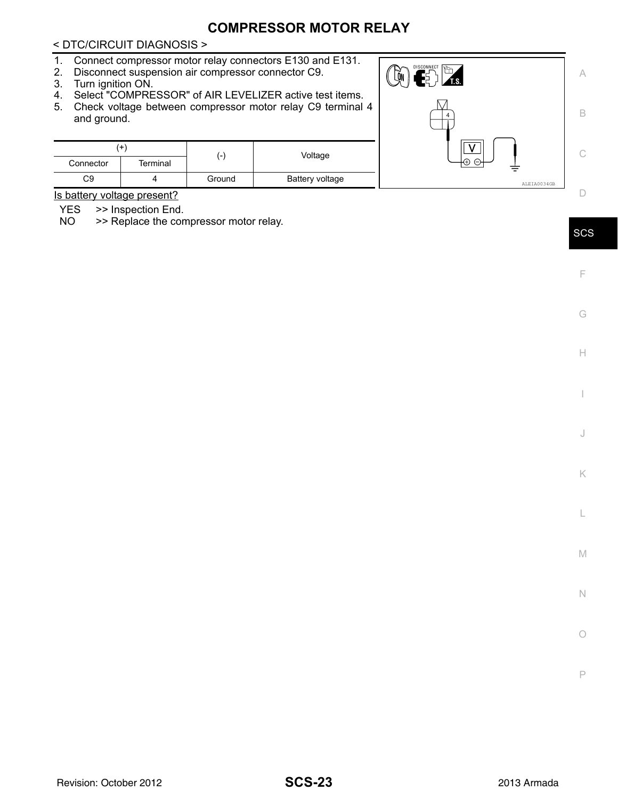### **COMPRESSOR MOTOR RELAY**

#### < DTC/CIRCUIT DIAGNOSIS >

- 1. Connect compressor motor relay connectors E130 and E131.
- 2. Disconnect suspension air compressor connector C9.
- 3. Turn ignition ON.
- 4. Select "COMPRESSOR" of AIR LEVELIZER active test items.
- 5. Check voltage between compressor motor relay C9 terminal 4 and ground.

|           | ′+       |        | Voltage                |                    |
|-----------|----------|--------|------------------------|--------------------|
| Connector | Terminal |        |                        | ◡<br>∽<br>$\equiv$ |
| C9        |          | Ground | <b>Battery voltage</b> | ALEIA0034GE        |

#### Is battery voltage present?

YES >> Inspection End.

NO >> Replace the compressor motor relay.



### **SCS**

F

G

H

I

J

K

L

M

N

 $\bigcirc$ 

P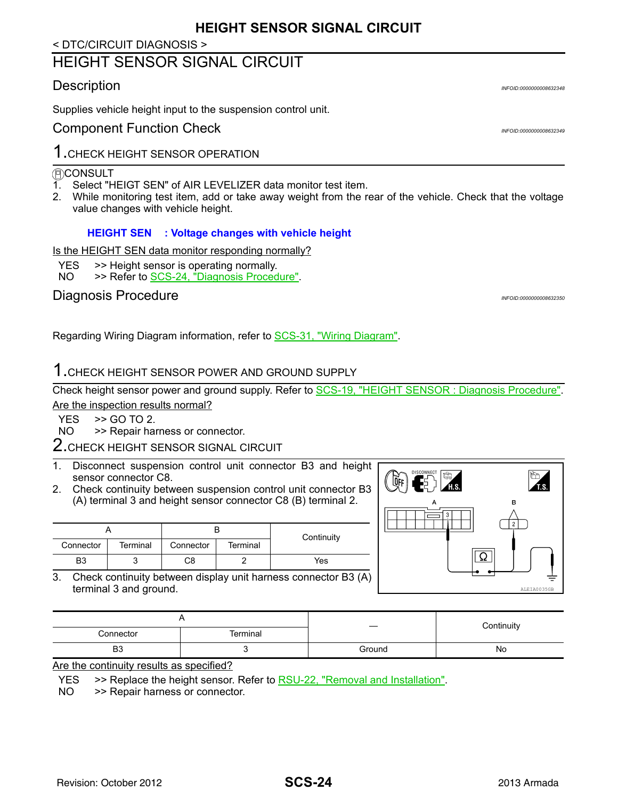### <span id="page-23-0"></span>HEIGHT SENSOR SIGNAL CIRCUIT

### <span id="page-23-1"></span>Description *INFOID:0000000008632348*

Supplies vehicle height input to the suspension control unit.

### <span id="page-23-2"></span>Component Function Check *INFOID:0000000008632349*

### 1.CHECK HEIGHT SENSOR OPERATION

#### **ACONSULT**

- 1. Select "HEIGT SEN" of AIR LEVELIZER data monitor test item.
- 2. While monitoring test item, add or take away weight from the rear of the vehicle. Check that the voltage value changes with vehicle height.

#### **HEIGHT SEN : Voltage changes with vehicle height**

Is the HEIGHT SEN data monitor responding normally?

- YES >> Height sensor is operating normally.
- NO >> Refer to [SCS-24, "Diagnosis Procedure"](#page-23-3).

### <span id="page-23-3"></span>Diagnosis Procedure *INFOID:0000000008632350*

Regarding Wiring Diagram information, refer to [SCS-31, "Wiring Diagram"](#page-30-2).

### 1.CHECK HEIGHT SENSOR POWER AND GROUND SUPPLY

Check height sensor power and ground supply. Refer to [SCS-19, "HEIGHT SENSOR : Diagnosis Procedure".](#page-18-1) Are the inspection results normal?

YES >> GO TO 2.

- NO >> Repair harness or connector.
- 2. CHECK HEIGHT SENSOR SIGNAL CIRCUIT
- 1. Disconnect suspension control unit connector B3 and height sensor connector C8.
- 2. Check continuity between suspension control unit connector B3 (A) terminal 3 and height sensor connector C8 (B) terminal 2.

|           |          |           |          | Continuity |
|-----------|----------|-----------|----------|------------|
| Connector | Terminal | Connector | Terminal |            |
| B3        |          | С8        |          | Yes        |

3. Check continuity between display unit harness connector B3 (A) terminal 3 and ground.



|           |          |        | Continuity |
|-----------|----------|--------|------------|
| Connector | Terminal |        |            |
| DΩ<br>טם  |          | Ground | No         |

#### Are the continuity results as specified?

YES >> Replace the height sensor. Refer to RSU-22, "Removal and Installation".

NO >> Repair harness or connector.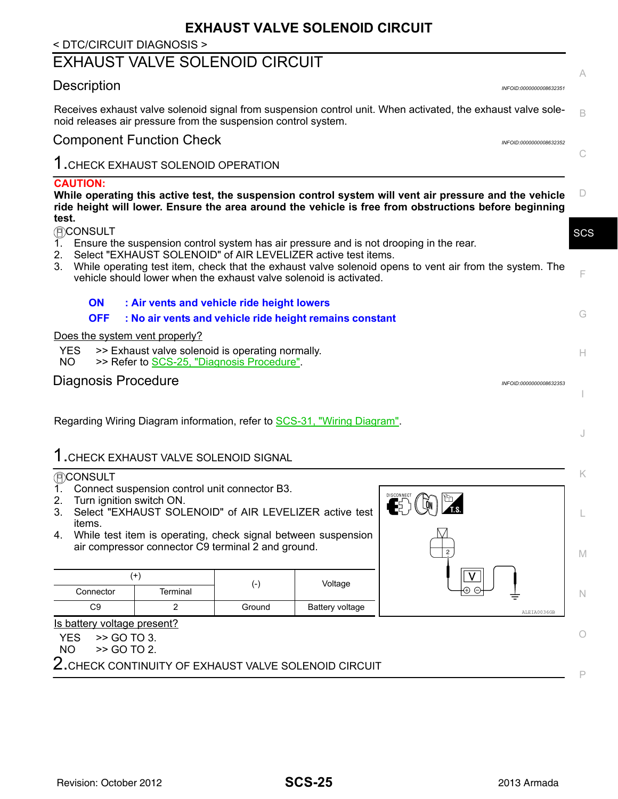### **EXHAUST VALVE SOLENOID CIRCUIT**

< DTC/CIRCUIT DIAGNOSIS >

#### <span id="page-24-3"></span><span id="page-24-2"></span><span id="page-24-1"></span><span id="page-24-0"></span>C D F G H I J K L M A B SCS N O P EXHAUST VALVE SOLENOID CIRCUIT Description *INFOID:0000000008632351* Receives exhaust valve solenoid signal from suspension control unit. When activated, the exhaust valve solenoid releases air pressure from the suspension control system. Component Function Check *INFOID:0000000008632352* 1.CHECK EXHAUST SOLENOID OPERATION **CAUTION: While operating this active test, the suspension control system will vent air pressure and the vehicle ride height will lower. Ensure the area around the vehicle is free from obstructions before beginning test. ACONSULT** 1. Ensure the suspension control system has air pressure and is not drooping in the rear. 2. Select "EXHAUST SOLENOID" of AIR LEVELIZER active test items. 3. While operating test item, check that the exhaust valve solenoid opens to vent air from the system. The vehicle should lower when the exhaust valve solenoid is activated. Does the system vent properly? YES >> Exhaust valve solenoid is operating normally. NO >> Refer to [SCS-25, "Diagnosis Procedure"](#page-24-3). Diagnosis Procedure *INFOID:0000000008632353* Regarding Wiring Diagram information, refer to [SCS-31, "Wiring Diagram"](#page-30-2). 1.CHECK EXHAUST VALVE SOLENOID SIGNAL **ACONSULT** 1. Connect suspension control unit connector B3. 2. Turn ignition switch ON. 3. Select "EXHAUST SOLENOID" of AIR LEVELIZER active test items. 4. While test item is operating, check signal between suspension air compressor connector C9 terminal 2 and ground. Is battery voltage present? YES >> GO TO 3. NO >> GO TO 2. **2.** CHECK CONTINUITY OF EXHAUST VALVE SOLENOID CIRCUIT **ON : Air vents and vehicle ride height lowers OFF : No air vents and vehicle ride height remains constant** (+)<br>Connector Terminal (-) Voltage  $C9$  2 Ground Battery voltage ALEIA0036GB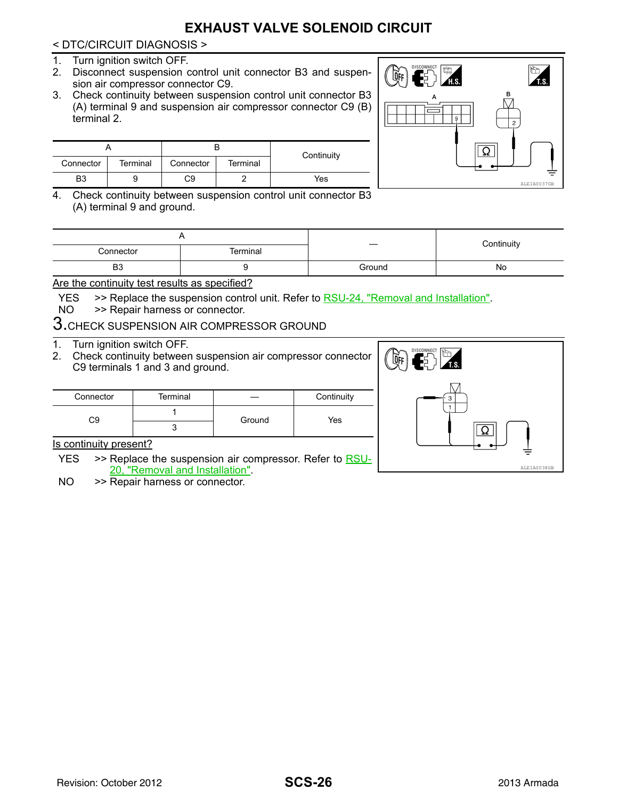### **EXHAUST VALVE SOLENOID CIRCUIT**

#### < DTC/CIRCUIT DIAGNOSIS >

- 1. Turn ignition switch OFF.
- 2. Disconnect suspension control unit connector B3 and suspension air compressor connector C9.
- 3. Check continuity between suspension control unit connector B3 (A) terminal 9 and suspension air compressor connector C9 (B) terminal 2.

| DISCONNECT<br>H.S.     | T.S.        |
|------------------------|-------------|
| в<br>A<br>9<br>2<br>∍∠ |             |
|                        | ALEIA0037GB |

|           |          |           |          | Continuity | эc          |
|-----------|----------|-----------|----------|------------|-------------|
| Connector | Terminal | Connector | Terminal |            |             |
| B3        |          | C9        |          | Yes        | ALEIA0037GB |

4. Check continuity between suspension control unit connector B3 (A) terminal 9 and ground.

|                | . .      | _      | Continuity |
|----------------|----------|--------|------------|
| Connector      | Terminal | ____   |            |
| B <sub>3</sub> |          | Ground | No         |

#### Are the continuity test results as specified?

YES >> Replace the suspension control unit. Refer to RSU-24, "Removal and Installation".

NO >> Repair harness or connector.

### 3.CHECK SUSPENSION AIR COMPRESSOR GROUND

- 1. Turn ignition switch OFF.
- 2. Check continuity between suspension air compressor connector C9 terminals 1 and 3 and ground.

| Connector | Terminal |        | Continuity |
|-----------|----------|--------|------------|
| 09.       |          | Ground | Yes        |
|           | J        |        |            |

 $\mathbb{Q}$ ff)

#### Is continuity present?

- YES >> Replace the suspension air compressor. Refer to RSU-20, "Removal and Installation".
- NO >> Repair harness or connector.

ALETA0038

Ω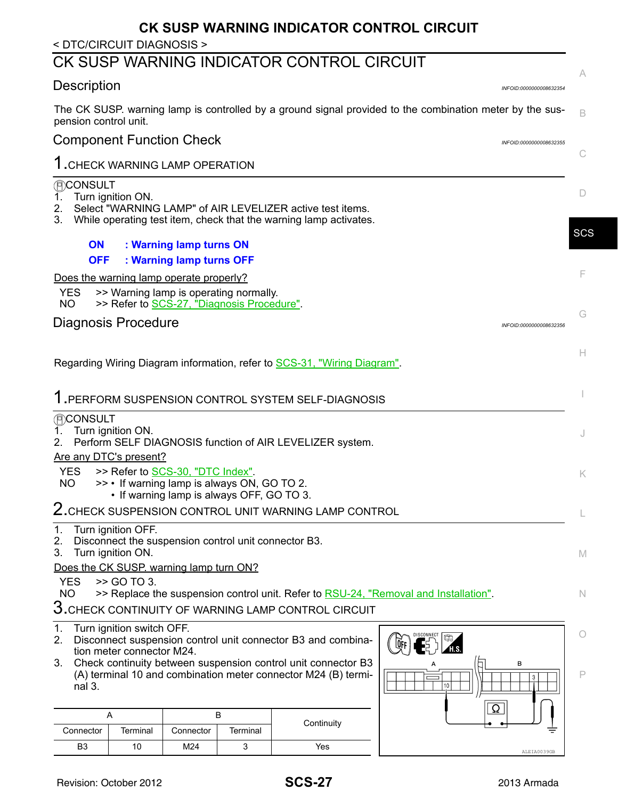### **CK SUSP WARNING INDICATOR CONTROL CIRCUIT**

<span id="page-26-0"></span>

| < DTC/CIRCUIT DIAGNOSIS >                 |
|-------------------------------------------|
| CK SUSP WARNING INDICATOR CONTROL CIRCUIT |

<span id="page-26-3"></span><span id="page-26-2"></span><span id="page-26-1"></span>

| Description<br>INFOID:0000000008632354                                                                                                                                                                                                                                                                              | А      |
|---------------------------------------------------------------------------------------------------------------------------------------------------------------------------------------------------------------------------------------------------------------------------------------------------------------------|--------|
| The CK SUSP. warning lamp is controlled by a ground signal provided to the combination meter by the sus-<br>pension control unit.                                                                                                                                                                                   | B      |
| <b>Component Function Check</b><br>INFOID:0000000008632355                                                                                                                                                                                                                                                          |        |
| 1. CHECK WARNING LAMP OPERATION                                                                                                                                                                                                                                                                                     | C      |
| <b>OCONSULT</b><br>Turn ignition ON.<br>1.<br>2.<br>Select "WARNING LAMP" of AIR LEVELIZER active test items.<br>3.<br>While operating test item, check that the warning lamp activates.                                                                                                                            | D      |
| <b>ON</b><br>: Warning lamp turns ON                                                                                                                                                                                                                                                                                | SCS    |
| : Warning lamp turns OFF<br><b>OFF</b>                                                                                                                                                                                                                                                                              |        |
| Does the warning lamp operate properly?<br><b>YES</b><br>>> Warning lamp is operating normally.<br>>> Refer to SCS-27. "Diagnosis Procedure".<br><b>NO</b>                                                                                                                                                          | F      |
| Diagnosis Procedure<br>INFOID:0000000008632356                                                                                                                                                                                                                                                                      | G      |
| Regarding Wiring Diagram information, refer to SCS-31, "Wiring Diagram".<br>1. PERFORM SUSPENSION CONTROL SYSTEM SELF-DIAGNOSIS                                                                                                                                                                                     | H.     |
| <b><i></i> ECONSULT</b><br>Turn ignition ON.<br>Perform SELF DIAGNOSIS function of AIR LEVELIZER system.<br>2.                                                                                                                                                                                                      | J      |
| Are any DTC's present?<br>>> Refer to SCS-30, "DTC Index".<br>YES<br>>> . If warning lamp is always ON, GO TO 2.<br>NO<br>• If warning lamp is always OFF, GO TO 3.                                                                                                                                                 | Κ      |
| <b>2. CHECK SUSPENSION CONTROL UNIT WARNING LAMP CONTROL</b>                                                                                                                                                                                                                                                        |        |
| Turn ignition OFF.<br>1.<br>2.<br>Disconnect the suspension control unit connector B3.<br>Turn ignition ON.<br>3.                                                                                                                                                                                                   | M      |
| Does the CK SUSP. warning lamp turn ON?<br>>> GO TO 3.<br><b>YES</b>                                                                                                                                                                                                                                                |        |
| <b>NO</b><br>>> Replace the suspension control unit. Refer to RSU-24, "Removal and Installation".                                                                                                                                                                                                                   | N.     |
| $3.$ CHECK CONTINUITY OF WARNING LAMP CONTROL CIRCUIT                                                                                                                                                                                                                                                               |        |
| 1.<br>Turn ignition switch OFF.<br>DISCONNECT<br>2.<br>Disconnect suspension control unit connector B3 and combina-<br>tion meter connector M24.<br>Check continuity between suspension control unit connector B3<br>3.<br>в<br>(A) terminal 10 and combination meter connector M24 (B) termi-<br>3<br>nal 3.<br>10 | O<br>P |
| $\overline{\Omega}$                                                                                                                                                                                                                                                                                                 |        |
| B<br>Α<br>Continuity<br>Connector<br>Terminal<br>Connector<br>Terminal                                                                                                                                                                                                                                              |        |

 $\begin{array}{|c|c|c|c|c|c|}\n \hline\n \text{B3} & \text{10} & \text{M24} & \text{3} & \text{Yes} & \text{Excess} & \text{Excess} \end{array}$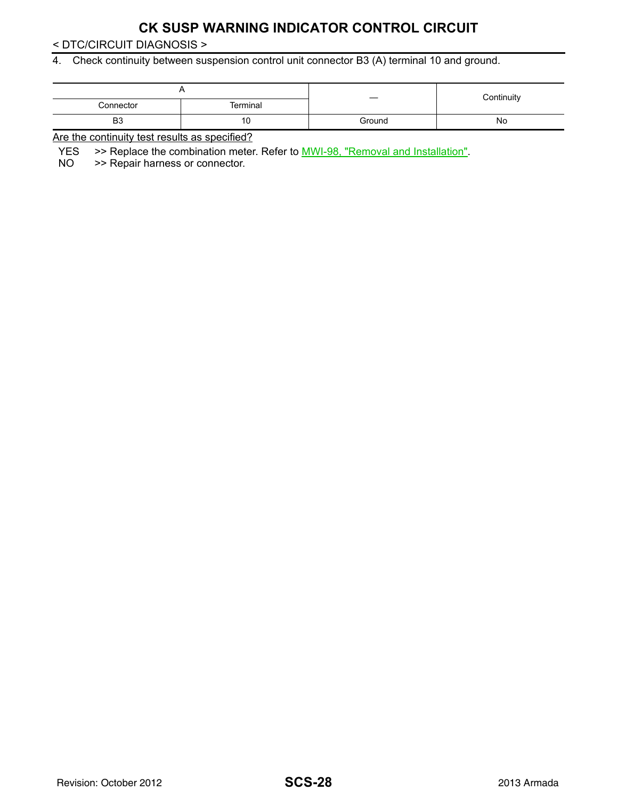### **CK SUSP WARNING INDICATOR CONTROL CIRCUIT**

#### < DTC/CIRCUIT DIAGNOSIS >

4. Check continuity between suspension control unit connector B3 (A) terminal 10 and ground.

|                |          |        | Continuitv |
|----------------|----------|--------|------------|
| Connector      | Terminal |        |            |
| B <sub>3</sub> | Ίυ       | Ground | Νo         |

Are the continuity test results as specified?

YES >> Replace the combination meter. Refer to **MWI-98, "Removal and Installation"**.<br>NO >> Repair harness or connector.

>> Repair harness or connector.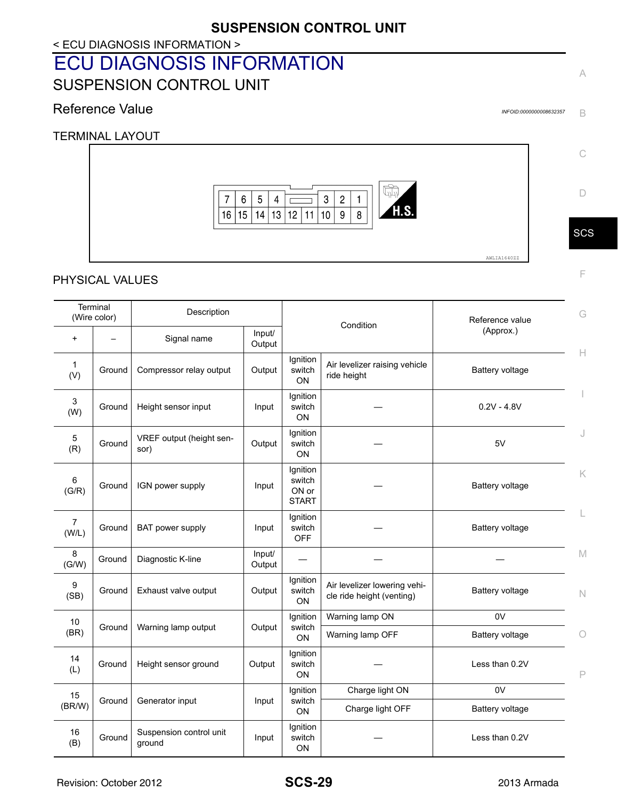## <span id="page-28-1"></span><span id="page-28-0"></span>ECU DIAGNOSIS INFORMATION SUSPENSION CONTROL UNIT

### <span id="page-28-2"></span>Reference Value **Information Information** *INFOID:000000008632357*

### TERMINAL LAYOUT



### PHYSICAL VALUES

|           | Terminal<br>Description<br>(Wire color)<br>Signal name<br>$+$<br>1<br>Compressor relay output<br>Ground<br>3<br>Height sensor input<br>Ground<br>$\mathbf 5$<br>VREF output (height sen-<br>Ground<br>sor)<br>6<br>IGN power supply<br>Ground<br>7<br>BAT power supply<br>Ground<br>8<br>Diagnostic K-line<br>Ground<br>9<br>Ground<br>Exhaust valve output |                                   |                  | Condition                                   | G<br>Reference value                                      |                                |
|-----------|-------------------------------------------------------------------------------------------------------------------------------------------------------------------------------------------------------------------------------------------------------------------------------------------------------------------------------------------------------------|-----------------------------------|------------------|---------------------------------------------|-----------------------------------------------------------|--------------------------------|
|           |                                                                                                                                                                                                                                                                                                                                                             |                                   | Input/<br>Output |                                             |                                                           | (Approx.)                      |
| (V)       |                                                                                                                                                                                                                                                                                                                                                             |                                   | Output           | Ignition<br>switch<br>ON                    | Air levelizer raising vehicle<br>ride height              | Н<br><b>Battery voltage</b>    |
| (W)       |                                                                                                                                                                                                                                                                                                                                                             |                                   | Input            | Ignition<br>switch<br>ON                    |                                                           | $0.2V - 4.8V$                  |
| (R)       |                                                                                                                                                                                                                                                                                                                                                             |                                   | Output           | Ignition<br>switch<br><b>ON</b>             |                                                           | 5V                             |
| (G/R)     |                                                                                                                                                                                                                                                                                                                                                             |                                   | Input            | Ignition<br>switch<br>ON or<br><b>START</b> |                                                           | K<br>Battery voltage           |
| (W/L)     |                                                                                                                                                                                                                                                                                                                                                             |                                   | Input            | Ignition<br>switch<br><b>OFF</b>            |                                                           | <b>Battery voltage</b>         |
| (G/W)     |                                                                                                                                                                                                                                                                                                                                                             |                                   | Input/<br>Output |                                             |                                                           | $\mathbb N$                    |
| (SB)      |                                                                                                                                                                                                                                                                                                                                                             |                                   | Output           | Ignition<br>switch<br>ON                    | Air levelizer lowering vehi-<br>cle ride height (venting) | Battery voltage<br>$\mathbb N$ |
| 10        |                                                                                                                                                                                                                                                                                                                                                             |                                   |                  | Ignition                                    | Warning lamp ON                                           | 0V                             |
| (BR)      | Ground                                                                                                                                                                                                                                                                                                                                                      | Warning lamp output               | Output           | switch<br>ON                                | Warning lamp OFF                                          | 0<br><b>Battery voltage</b>    |
| 14<br>(L) | Ground                                                                                                                                                                                                                                                                                                                                                      | Height sensor ground              | Output           | Ignition<br>switch<br><b>ON</b>             |                                                           | Less than 0.2V<br>P            |
| 15        |                                                                                                                                                                                                                                                                                                                                                             |                                   |                  | Ignition                                    | Charge light ON                                           | 0V                             |
| (BR/W)    | Ground                                                                                                                                                                                                                                                                                                                                                      | Generator input                   | Input            | switch<br>ON                                | Charge light OFF                                          | <b>Battery voltage</b>         |
| 16<br>(B) | Ground                                                                                                                                                                                                                                                                                                                                                      | Suspension control unit<br>ground | Input            | Ignition<br>switch<br>ON                    |                                                           | Less than 0.2V                 |

C

A

B

 $\Box$ 

**SCS** 

F

AWLIA1640ZZ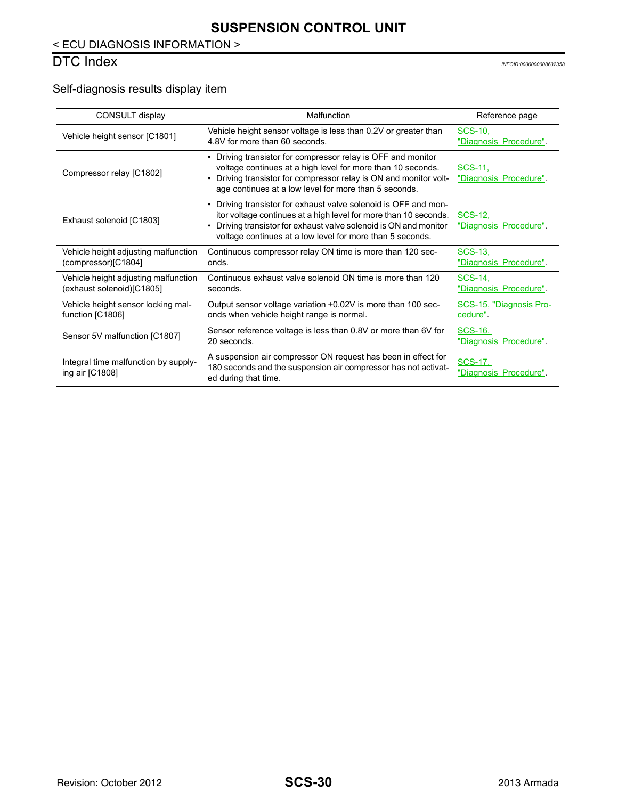### < ECU DIAGNOSIS INFORMATION >

### <span id="page-29-0"></span>DTC Index *INFOID:0000000008632358*

### Self-diagnosis results display item

| CONSULT display                                                   | Malfunction                                                                                                                                                                                                                                                                    | Reference page                           |
|-------------------------------------------------------------------|--------------------------------------------------------------------------------------------------------------------------------------------------------------------------------------------------------------------------------------------------------------------------------|------------------------------------------|
| Vehicle height sensor [C1801]                                     | Vehicle height sensor voltage is less than 0.2V or greater than<br>4.8V for more than 60 seconds.                                                                                                                                                                              | <b>SCS-10.</b><br>"Diagnosis Procedure". |
| Compressor relay [C1802]                                          | Driving transistor for compressor relay is OFF and monitor<br>voltage continues at a high level for more than 10 seconds.<br>Driving transistor for compressor relay is ON and monitor volt-<br>age continues at a low level for more than 5 seconds.                          | <b>SCS-11.</b><br>"Diagnosis Procedure". |
| Exhaust solenoid [C1803]                                          | Driving transistor for exhaust valve solenoid is OFF and mon-<br>$\bullet$<br>itor voltage continues at a high level for more than 10 seconds.<br>Driving transistor for exhaust valve solenoid is ON and monitor<br>voltage continues at a low level for more than 5 seconds. | SCS-12.<br>"Diagnosis Procedure".        |
| Vehicle height adjusting malfunction<br>(compressor)[C1804]       | Continuous compressor relay ON time is more than 120 sec-<br>onds.                                                                                                                                                                                                             | SCS-13.<br>"Diagnosis Procedure".        |
| Vehicle height adjusting malfunction<br>(exhaust solenoid)[C1805] | Continuous exhaust valve solenoid ON time is more than 120<br>seconds.                                                                                                                                                                                                         | <b>SCS-14.</b><br>"Diagnosis Procedure". |
| Vehicle height sensor locking mal-<br>function [C1806]            | Output sensor voltage variation $\pm 0.02V$ is more than 100 sec-<br>onds when vehicle height range is normal.                                                                                                                                                                 | SCS-15, "Diagnosis Pro-<br>cedure".      |
| Sensor 5V malfunction [C1807]                                     | Sensor reference voltage is less than 0.8V or more than 6V for<br>20 seconds.                                                                                                                                                                                                  | <b>SCS-16.</b><br>"Diagnosis Procedure". |
| Integral time malfunction by supply-<br>ing air [C1808]           | A suspension air compressor ON request has been in effect for<br>180 seconds and the suspension air compressor has not activat-<br>ed during that time.                                                                                                                        | <b>SCS-17.</b><br>"Diagnosis Procedure". |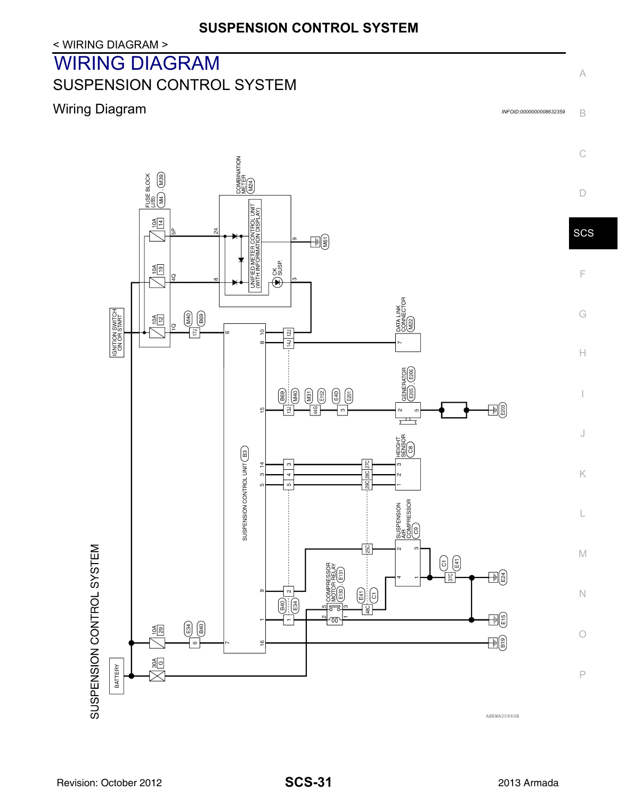< WIRING DIAGRAM >

## <span id="page-30-0"></span>WIRING DIAGRAM

<span id="page-30-1"></span>SUSPENSION CONTROL SYSTEM

### <span id="page-30-2"></span>**Wiring Diagram** *INFOID:000000086323599*



A

B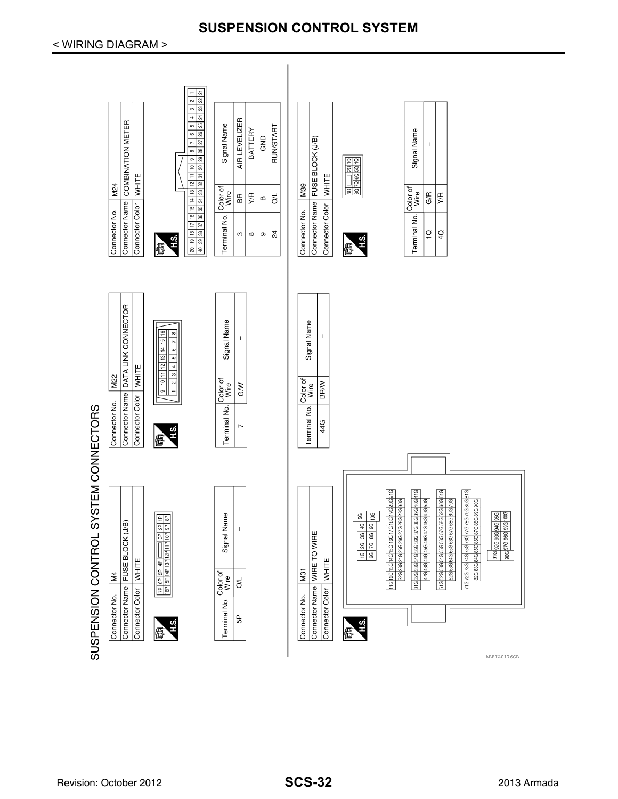

< WIRING DIAGRAM >

**SUSPENSION CONTROL SYSTEM**

ABEIA0176GB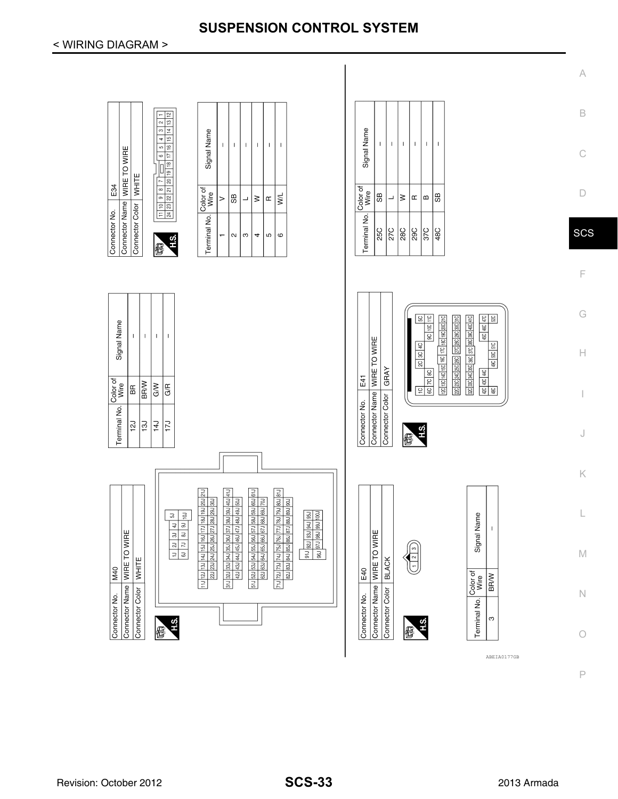|                                                     |                          |                      | $\sim$<br>$_{\rm c}$<br>$\ddot{\phantom{0}}$<br>ю<br>$\overline{\bullet}$ | $\thickapprox$<br>$\overline{5}$<br>$\frac{4}{4}$<br>$\overline{5}$<br>$\tilde{e}$<br>F<br>$\sqrt{\frac{1}{2}}$ |                                                                                                                                       |                                     | Signal Name                                       |                                              |                                              | $\mathbf{I}$ | $\mathbf{I}$                                                                                                          | $\mathbf{I}$   | $\mathbf{I}$                                                                                                                                                                     | Signal Name          |                             | $\mathbf{I}$                    | $\mathbf{I}$ | $\mathbf{I}$                       | $\mathsf I$                                    | $\mathbf{I}$                          |                                                  |                                                                                                                 |  |
|-----------------------------------------------------|--------------------------|----------------------|---------------------------------------------------------------------------|-----------------------------------------------------------------------------------------------------------------|---------------------------------------------------------------------------------------------------------------------------------------|-------------------------------------|---------------------------------------------------|----------------------------------------------|----------------------------------------------|--------------|-----------------------------------------------------------------------------------------------------------------------|----------------|----------------------------------------------------------------------------------------------------------------------------------------------------------------------------------|----------------------|-----------------------------|---------------------------------|--------------|------------------------------------|------------------------------------------------|---------------------------------------|--------------------------------------------------|-----------------------------------------------------------------------------------------------------------------|--|
| E34                                                 | WHITE                    |                      | $\overline{r}$<br>$\boxed{\circ}$<br>$\boxed{9}$                          | $\overline{a}$<br>$\overline{21}$<br>ক $\frac{1}{\sqrt{2}}$<br> 53                                              |                                                                                                                                       |                                     | Color of                                          | >                                            | ြိမ်                                         | ┙            | $\geq$                                                                                                                | $\mathfrak{a}$ | $\frac{1}{2}$                                                                                                                                                                    | Color of<br>Wire     | $_{\rm ss}$                 | ᆜ                               | $\geq$       | $\mathfrak{m}$                     | $\bf{m}$                                       | lSS                                   |                                                  |                                                                                                                 |  |
| Connector Name   WIRE TO WIRE<br>Connector No.      | Connector Color          |                      | 僵                                                                         | $\boxed{5}$ $\frac{1}{3}$<br>ί.<br>Η                                                                            |                                                                                                                                       |                                     | Terminal No.                                      | $\overline{\phantom{0}}$                     | $\sim$                                       | S            | 4                                                                                                                     | 5              | $\mathbf{\circ}$                                                                                                                                                                 | Terminal No.         | <b>25C</b>                  | $\overline{27}$ C               | <b>28C</b>   | ୦<br>୧                             | $\overline{37}C$                               | 48C                                   |                                                  |                                                                                                                 |  |
| Signal Name<br>Color of<br>Wire                     | $_{\rm BE}$              | $\mathbf{I}$<br>BR/W | $\mathbf{I}$<br>G/W                                                       | т<br>∣ଞ୍ଚ                                                                                                       |                                                                                                                                       |                                     |                                                   |                                              |                                              |              |                                                                                                                       |                |                                                                                                                                                                                  | E41                  | Connector Name WIRE TO WIRE | GRAY                            |              | SC)<br>$2C$ 3C 4C<br>$\frac{1}{2}$ | ac   nc   nc<br>$\frac{1}{2}$ oc $\frac{1}{2}$ | 20 20 240 260 260 270 280 290 300 310 | 014  004  086  086  028  098  098  098  028  028 | 450 460 470<br>$\mathbb{S}\mathbb{C}$<br>190   900   910<br>$\frac{420}{480}$ $\frac{430}{480}$ $\frac{440}{1}$ |  |
| Terminal No.                                        | <u>더</u>                 | 13J                  | 14J                                                                       | $\overline{5}$                                                                                                  |                                                                                                                                       |                                     |                                                   |                                              |                                              |              |                                                                                                                       |                |                                                                                                                                                                                  | Connector No.        |                             | Connector Color                 | 倨            |                                    | H.S.                                           |                                       |                                                  |                                                                                                                 |  |
| Connector Name WIRE TO WIRE<br>M40<br>Connector No. | WHITE<br>Connector Color |                      |                                                                           | 2                                                                                                               | $\frac{1}{2}$   $\frac{1}{2}$   $\frac{1}{2}$   $\frac{1}{2}$   $\frac{1}{2}$<br>4J<br>$\overline{a}$<br>$1J$   $2J$<br>$\frac{3}{1}$ | itu 121 131 141 151 161 171 181 191 | $\frac{21}{30}$<br>221 231 241 251 261 271 281 29 | 400 413<br>ee nee r.e nee nee nee nee nee ne | <b>Sol</b><br>421 431 441 451 461 471 481 49 |              | <b>BOU</b> 61J<br>$\overline{\mathbb{E}}$<br>en jaa jaal val eel eel eel eel eel.<br>Taal eel eel eel eel eel eel eel |                | <b>PLIB</b><br>1001<br>1001<br>rez 182 122 192 192 192 192 1921 282 1921<br>lee    laa    laa    laa    laa    laa    laa    laa    laa    laa    laa    laa    laa    laa    la | E40<br>Connector No. | Connector Name WIRE TO WIRE | <b>BLACK</b><br>Connector Color |              |                                    | H.S.                                           |                                       | Signal Name<br>Color of<br>Terminal No.          | $\mathbf{I}$<br>$\frac{1}{\sqrt{2}}$<br>S                                                                       |  |

Revision: October 2012 2013 Armada 2013 Armada 2013 Armada

< WIRING DIAGRAM >

ABEIA0177GB

C

B

A

 $\Box$ 

**SCS** 

F

G

 $\mathbb H$ 

I

J

K

L

M

N

O

P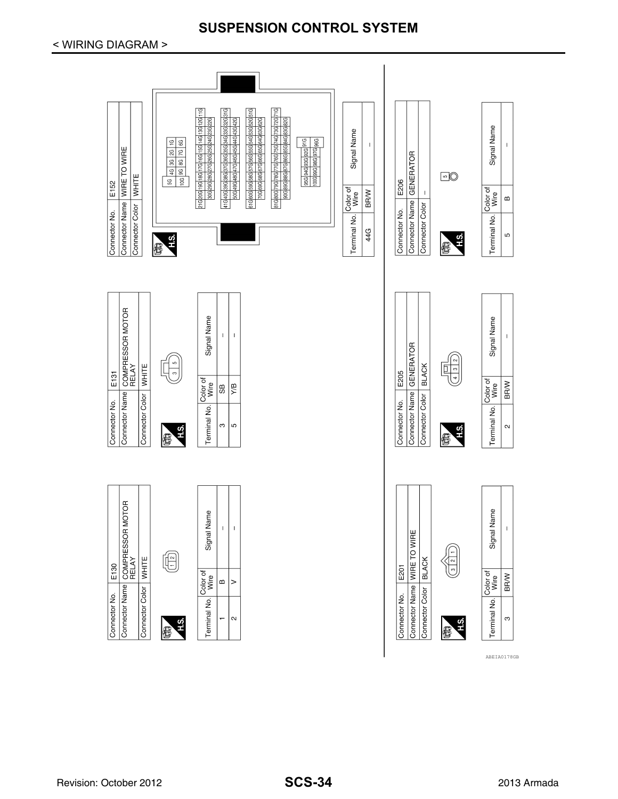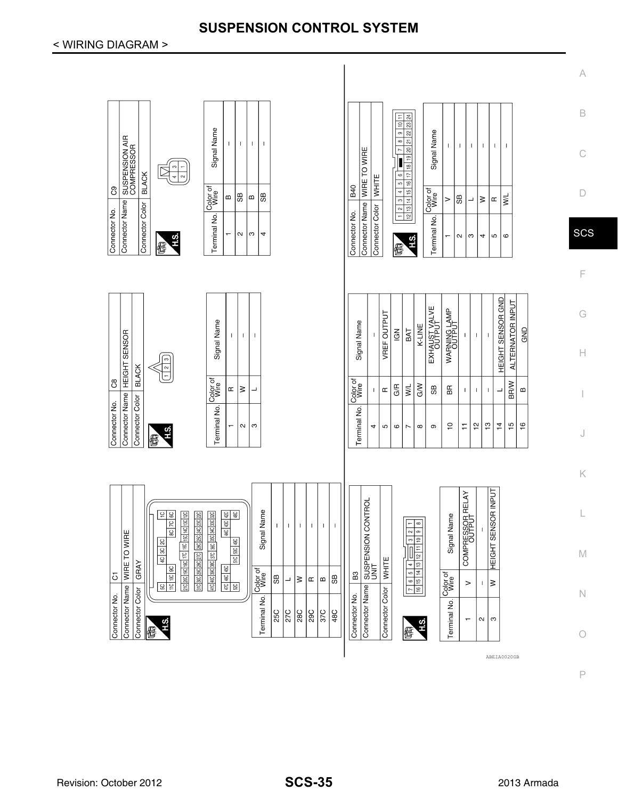| Connector Name<br>Connector Color<br>Connector No.<br>ΙŚ.<br>偃                                                                           | Terminal No.<br>$\leftarrow$<br>$\sim$<br>Signal Name<br>$\mathbf{I}$<br>т.                                                                                                                                                                                                                                 | S<br>4<br>$\mathsf I$   |                     |                                            |                                |          |    | B40<br>Connector No.<br>Signal Name | WIRE TO WIRE<br>WHITE<br>Connector Name<br>Connector Color<br>-1 | VREF OUTPUT              | 5<br>$\overline{+}$<br>$\boxed{3}$<br>τ<br>信<br>$\overline{G}$ | $\left  12 \right  13 \left  14 \right  15 \left  16 \right  17 \left  18 \right  19 \left  20 \right $<br>ЯH,<br>BAT | K-LINE               | Color of<br>Terminal No.<br>EXHAUST VALVE | ><br>WARNING LAMP       | SS <sub>D</sub><br>$\boldsymbol{\sim}$<br>ı  | ┙<br>S<br>$\mathsf I$        | $\geq$<br>4<br>$\mathbf{I}$                  | $\frac{1}{2}$<br>$\propto$<br>Ю<br>$\mathbf \circ$<br>HEIGHT SENSOR GND | ALTERNATOR INPUT            | GND                       |
|------------------------------------------------------------------------------------------------------------------------------------------|-------------------------------------------------------------------------------------------------------------------------------------------------------------------------------------------------------------------------------------------------------------------------------------------------------------|-------------------------|---------------------|--------------------------------------------|--------------------------------|----------|----|-------------------------------------|------------------------------------------------------------------|--------------------------|----------------------------------------------------------------|-----------------------------------------------------------------------------------------------------------------------|----------------------|-------------------------------------------|-------------------------|----------------------------------------------|------------------------------|----------------------------------------------|-------------------------------------------------------------------------|-----------------------------|---------------------------|
| Connector Name HEIGHT SENSOR<br>$\infty$<br><b>BLACK</b><br>පි<br>Connector Color<br>Connector No.<br>ЗH,<br>僝                           | Color of<br>F<br>$\geq$<br>Terminal No.<br>$\sim$                                                                                                                                                                                                                                                           | ⊐<br>ო                  |                     |                                            |                                |          |    | Color of<br>Wire<br>Terminal No.    | $\mathbf{I}$<br>4                                                | $\mathfrak{m}$<br>5      | G/R<br>$\pmb{\circ}$                                           | УXL<br>$\overline{ }$                                                                                                 | <b>S</b><br>$\infty$ | 9S<br>თ                                   | Æ<br>$\overline{C}$     | $\mathsf{I}$<br>$\overleftarrow{\textbf{t}}$ | $\mathsf I$<br>$\frac{1}{2}$ | $\overline{\phantom{a}}$<br>$\frac{1}{2}$    | ┙<br>$\overline{4}$                                                     | <b>BRW</b><br>$\frac{1}{2}$ | $\bf{m}$<br>$\frac{6}{5}$ |
| $rac{1}{\sqrt{10}}$<br>WIRE TO WIRE<br> 2C <br>$ 4C $ 3C<br>GRAY<br>$\overline{O}$<br>Connector Name<br>Connector Color<br>Connector No. | <u>erolaxoj vecji vecji roci j vecji vecji vecji vecji vecji vecji vecji vecji vecji vecji vecji vecji vecji vecj<br/>Isrodikoval pavljavaj vecji vecji vecji vecji vecji vecji vecji vecji vecji vecji vecji vecji vecji vecji vecj</u><br>440 430 420<br>49C<br>$ \sec $<br>$rac{470}{520}$ $rac{460}{1}$ | Signal Name<br>Color of | $\mathbf{I}$<br>ිසි | $\mathsf I$<br>$\mathbf{I}$<br>$\geq$<br>┙ | $\mathbf{I}$<br>$\mathfrak{a}$ | $\bf{m}$ | 99 | B3<br>Connector No.                 | <b>ROL</b><br>Connector Name SUSPENSION CONT                     | WHITE<br>Connector Color |                                                                | $\overline{\phantom{m}}$<br>$\overline{\mathbf{a}}$                                                                   | $9 \mid 8$           |                                           | Signal Name<br>Color of | RELAY<br>COMPRESSOR<br>$\, > \,$             |                              | HEIGHT SENSOR INPUT<br>$\geq$<br>$\mathsf I$ |                                                                         |                             |                           |

C

B

 $\forall$ 

 $\Box$ 

**SCS** 

F

G

 $\mathbb H$ 

I

J

K

L

M

N

O

P

Revision: October 2012 2013 Armada 2013 Armada 2013 Armada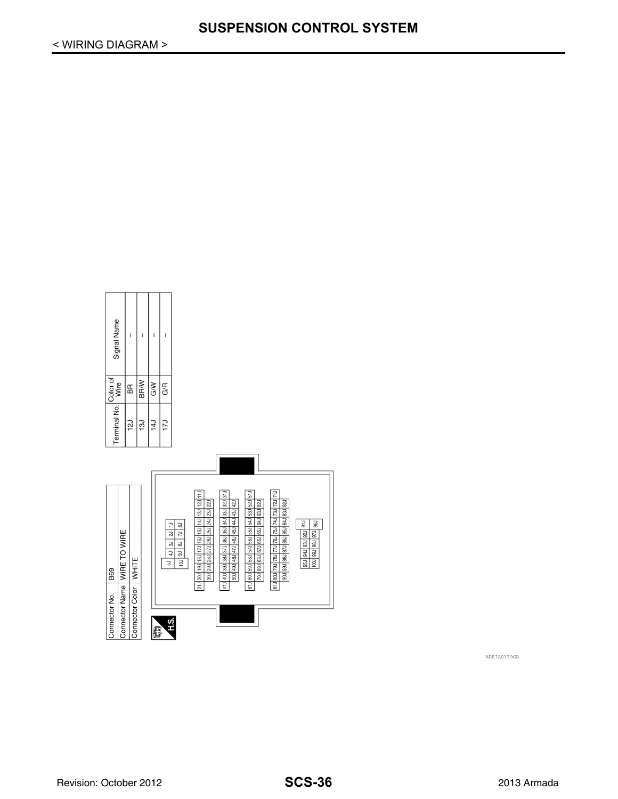| 41J 40J 39J 38J 37J 36J 35J 34J 33J 32J 31J<br>61   60   59   58   57   56   55   54   59   52   51  <br>81J 80J 78J 78J 77J 76J 75J 74J 73J 72J 71J<br>21J 20J 19J 18J 17J 16J 15J 14J 13J 12J 11J<br>30 29 28 27 28 28 28 29 29 29 29 22<br>L29   L29   L29   L29   G21   G21   G21   G21   G21<br>50 49 48 42 42 46 45 44 44 43 42<br>L28   D29   D39   D39   D39   D39   B39   B39   B39   D39<br>WIRE TO WIRE<br>3<br>₹<br><b>MHITE</b><br>$\overline{c}$<br>73<br>Connector Color<br>Connector Name |
|-----------------------------------------------------------------------------------------------------------------------------------------------------------------------------------------------------------------------------------------------------------------------------------------------------------------------------------------------------------------------------------------------------------------------------------------------------------------------------------------------------------|
| 95J 94J 93J 92J                                                                                                                                                                                                                                                                                                                                                                                                                                                                                           |

ABEIA0179GB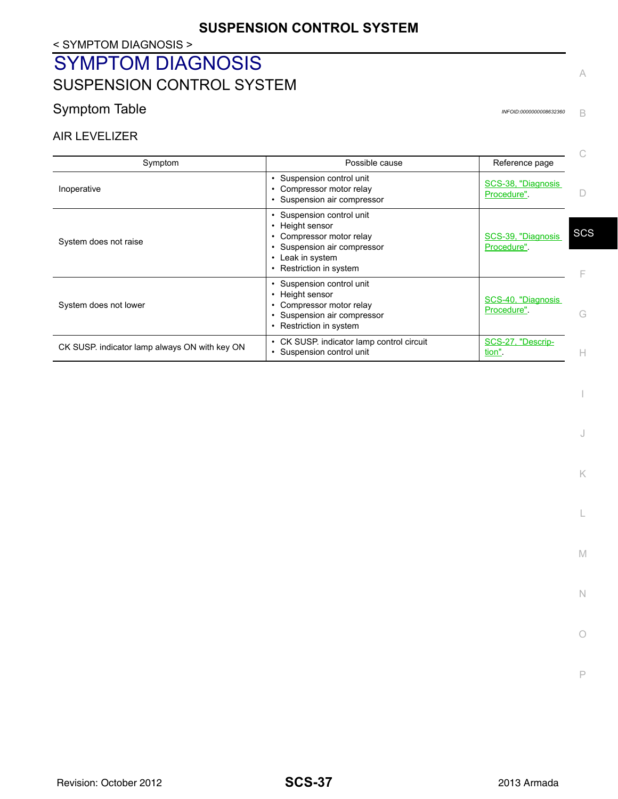## <span id="page-36-1"></span><span id="page-36-0"></span>SYMPTOM DIAGNOSIS SUSPENSION CONTROL SYSTEM

### <span id="page-36-2"></span>Symptom Table *INFOID:000000008632380*

AIR LEVELIZER

| Symptom                                       | Possible cause                                                                                                                                      | Reference page                     |            |
|-----------------------------------------------|-----------------------------------------------------------------------------------------------------------------------------------------------------|------------------------------------|------------|
| Inoperative                                   | • Suspension control unit<br>Compressor motor relay<br>• Suspension air compressor                                                                  | SCS-38, "Diagnosis<br>Procedure".  |            |
| System does not raise                         | • Suspension control unit<br>Height sensor<br>٠<br>Compressor motor relay<br>• Suspension air compressor<br>Leak in system<br>Restriction in system | SCS-39, "Diagnosis<br>Procedure".  | <b>SCS</b> |
| System does not lower                         | • Suspension control unit<br>Height sensor<br>$\bullet$<br>Compressor motor relay<br>Suspension air compressor<br>Restriction in system             | SCS-40, "Diagnosis"<br>Procedure". | G.         |
| CK SUSP. indicator lamp always ON with key ON | • CK SUSP. indicator lamp control circuit<br>Suspension control unit                                                                                | SCS-27, "Descrip-<br>tion".        |            |

A

I

J

K

L

M

N

O

P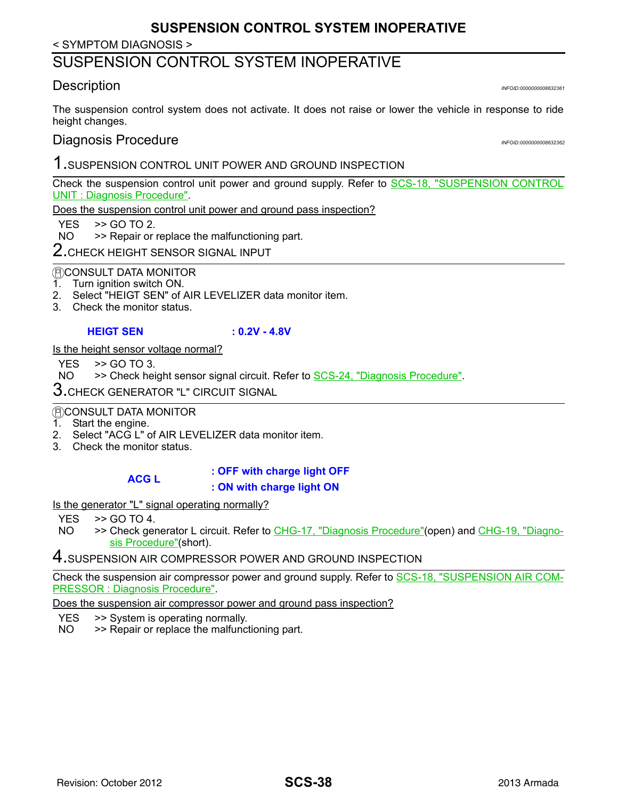### **SUSPENSION CONTROL SYSTEM INOPERATIVE**

#### < SYMPTOM DIAGNOSIS >

### <span id="page-37-0"></span>SUSPENSION CONTROL SYSTEM INOPERATIVE

### <span id="page-37-1"></span>Description *INFOID:0000000008632361*

The suspension control system does not activate. It does not raise or lower the vehicle in response to ride height changes.

### <span id="page-37-2"></span>Diagnosis Procedure *INFOID:00000008632362*

### 1.SUSPENSION CONTROL UNIT POWER AND GROUND INSPECTION

Check the suspension control unit power and ground supply. Refer to [SCS-18, "SUSPENSION CONTROL](#page-17-2) [UNIT : Diagnosis Procedure"](#page-17-2).

Does the suspension control unit power and ground pass inspection?

 $YES$   $\rightarrow$  GO TO 2.

NO  $\rightarrow$  >> Repair or replace the malfunctioning part.

2.CHECK HEIGHT SENSOR SIGNAL INPUT

### CONSULT DATA MONITOR

- 1. Turn ignition switch ON.
- 2. Select "HEIGT SEN" of AIR LEVELIZER data monitor item.
- 3. Check the monitor status.

#### **HEIGT SEN : 0.2V - 4.8V**

#### Is the height sensor voltage normal?

- YES >> GO TO 3.
- NO >> Check height sensor signal circuit. Refer to [SCS-24, "Diagnosis Procedure".](#page-23-3)

### 3.CHECK GENERATOR "L" CIRCUIT SIGNAL

#### CONSULT DATA MONITOR

- 1. Start the engine.
- 2. Select "ACG L" of AIR LEVELIZER data monitor item.
- 3. Check the monitor status.

### **ACG L : OFF with charge light OFF**

#### **: ON with charge light ON**

#### Is the generator "L" signal operating normally?

- YES >> GO TO 4.
- NO >> Check generator L circuit. Refer to CHG-17, "Diagnosis Procedure"(open) and CHG-19, "Diagnosis Procedure"(short).

### 4.SUSPENSION AIR COMPRESSOR POWER AND GROUND INSPECTION

Check the suspension air compressor power and ground supply. Refer to [SCS-18, "SUSPENSION AIR COM-](#page-17-4)[PRESSOR : Diagnosis Procedure".](#page-17-4)

Does the suspension air compressor power and ground pass inspection?

- YES >> System is operating normally.
- NO  $\rightarrow$  >> Repair or replace the malfunctioning part.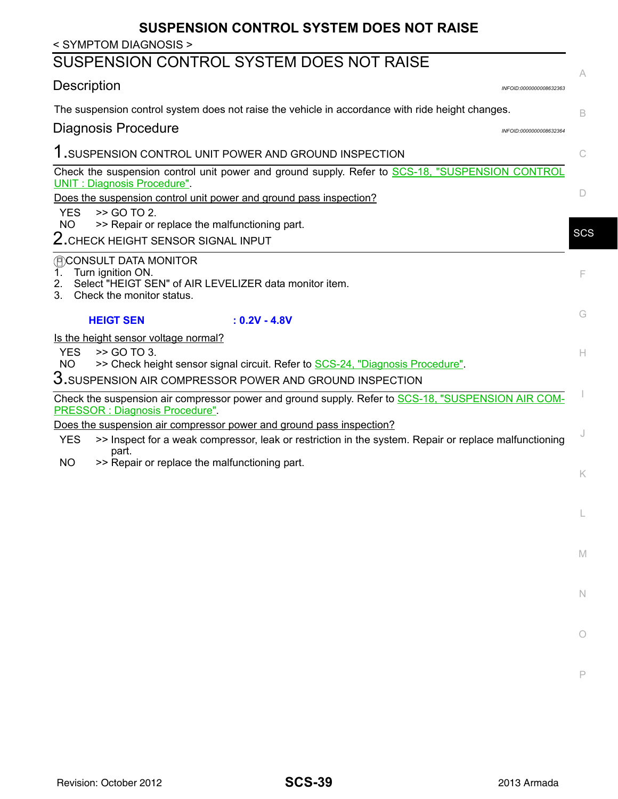### **SUSPENSION CONTROL SYSTEM DOES NOT RAISE**

<span id="page-38-2"></span><span id="page-38-1"></span><span id="page-38-0"></span>

| < SYMPTOM DIAGNOSIS ><br>SUSPENSION CONTROL SYSTEM DOES NOT RAISE                                                                                                                                                                        |     |
|------------------------------------------------------------------------------------------------------------------------------------------------------------------------------------------------------------------------------------------|-----|
| Description<br>INFOID:0000000008632363                                                                                                                                                                                                   | A   |
| The suspension control system does not raise the vehicle in accordance with ride height changes.<br>Diagnosis Procedure<br>INFOID:0000000008632364                                                                                       | B   |
| 1. SUSPENSION CONTROL UNIT POWER AND GROUND INSPECTION                                                                                                                                                                                   | С   |
| Check the suspension control unit power and ground supply. Refer to SCS-18, "SUSPENSION CONTROL<br><b>UNIT: Diagnosis Procedure".</b><br>Does the suspension control unit power and ground pass inspection?<br>>> GO TO 2.<br><b>YES</b> | D   |
| <b>NO</b><br>>> Repair or replace the malfunctioning part.<br>$2$ . CHECK HEIGHT SENSOR SIGNAL INPUT                                                                                                                                     | SCS |
| <b>ACONSULT DATA MONITOR</b><br>Turn ignition ON.<br>1.<br>Select "HEIGT SEN" of AIR LEVELIZER data monitor item.<br>2.<br>Check the monitor status.<br>3                                                                                | F   |
| <b>HEIGT SEN</b><br>$: 0.2V - 4.8V$                                                                                                                                                                                                      | G   |
| Is the height sensor voltage normal?<br><b>YES</b><br>>> GO TO 3.<br><b>NO</b><br>>> Check height sensor signal circuit. Refer to SCS-24, "Diagnosis Procedure".                                                                         | Н.  |
| $3.$ SUSPENSION AIR COMPRESSOR POWER AND GROUND INSPECTION                                                                                                                                                                               |     |
| Check the suspension air compressor power and ground supply. Refer to SCS-18, "SUSPENSION AIR COM-<br><b>PRESSOR: Diagnosis Procedure".</b>                                                                                              |     |
| Does the suspension air compressor power and ground pass inspection?<br>>> Inspect for a weak compressor, leak or restriction in the system. Repair or replace malfunctioning<br><b>YES</b><br>part.                                     |     |
| <b>NO</b><br>>> Repair or replace the malfunctioning part.                                                                                                                                                                               | K   |

P

O

L

M

N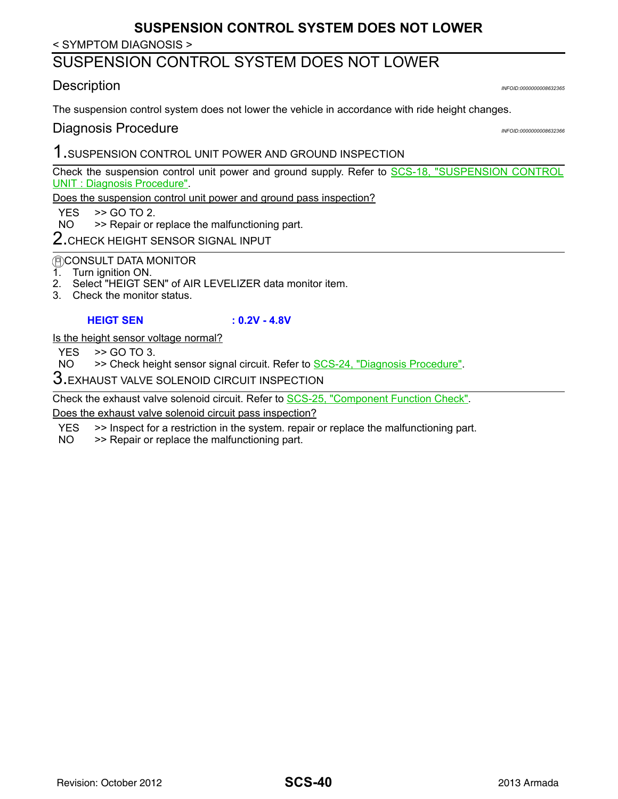### **SUSPENSION CONTROL SYSTEM DOES NOT LOWER**

#### < SYMPTOM DIAGNOSIS >

### <span id="page-39-0"></span>SUSPENSION CONTROL SYSTEM DOES NOT LOWER

### <span id="page-39-1"></span>Description *INFOID:0000000008632365*

The suspension control system does not lower the vehicle in accordance with ride height changes.

### <span id="page-39-2"></span>Diagnosis Procedure *Diagnosis INFOID:000000008632366*

### 1.SUSPENSION CONTROL UNIT POWER AND GROUND INSPECTION

Check the suspension control unit power and ground supply. Refer to [SCS-18, "SUSPENSION CONTROL](#page-17-2) [UNIT : Diagnosis Procedure"](#page-17-2).

#### Does the suspension control unit power and ground pass inspection?

YES >> GO TO 2.

NO  $\rightarrow$  > Repair or replace the malfunctioning part.

### **2.** CHECK HEIGHT SENSOR SIGNAL INPUT

*CONSULT DATA MONITOR* 

1. Turn ignition ON.

- 2. Select "HEIGT SEN" of AIR LEVELIZER data monitor item.
- 3. Check the monitor status.

#### **HEIGT SEN : 0.2V - 4.8V**

Is the height sensor voltage normal?

YES >> GO TO 3.

NO >> Check height sensor signal circuit. Refer to [SCS-24, "Diagnosis Procedure".](#page-23-3)

3.EXHAUST VALVE SOLENOID CIRCUIT INSPECTION

Check the exhaust valve solenoid circuit. Refer to [SCS-25, "Component Function Check".](#page-24-2)

#### Does the exhaust valve solenoid circuit pass inspection?

YES >> Inspect for a restriction in the system. repair or replace the malfunctioning part.

NO  $\rightarrow$  >> Repair or replace the malfunctioning part.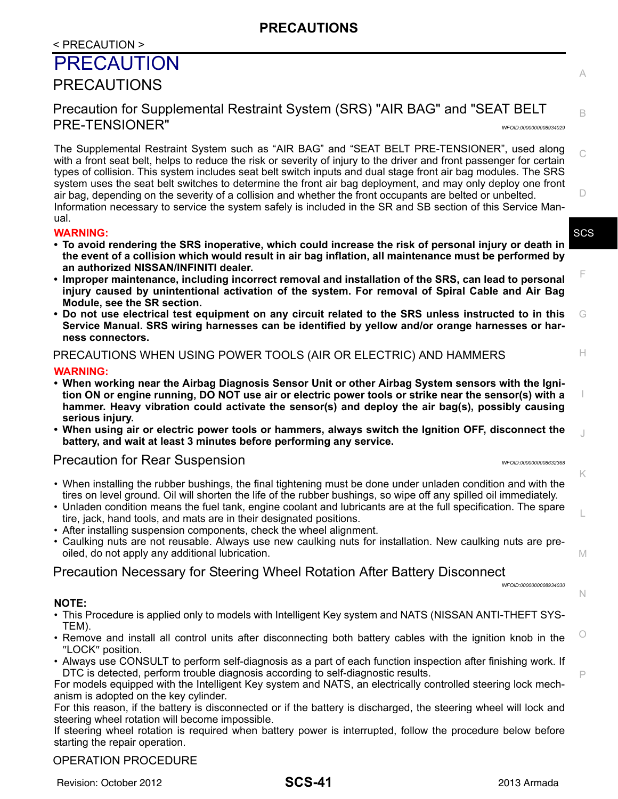#### < PRECAUTION >

### <span id="page-40-1"></span><span id="page-40-0"></span>PRECAUTION PRECAUTIONS

<span id="page-40-2"></span>Precaution for Supplemental Restraint System (SRS) "AIR BAG" and "SEAT BELT PRE-TENSIONER" *INFOID:0000000008934029*

The Supplemental Restraint System such as "AIR BAG" and "SEAT BELT PRE-TENSIONER", used along with a front seat belt, helps to reduce the risk or severity of injury to the driver and front passenger for certain types of collision. This system includes seat belt switch inputs and dual stage front air bag modules. The SRS system uses the seat belt switches to determine the front air bag deployment, and may only deploy one front air bag, depending on the severity of a collision and whether the front occupants are belted or unbelted. Information necessary to service the system safely is included in the SR and SB section of this Service Manual.

#### **WARNING:**

- **To avoid rendering the SRS inoperative, which could increase the risk of personal injury or death in the event of a collision which would result in air bag inflation, all maintenance must be performed by an authorized NISSAN/INFINITI dealer.**
- **Improper maintenance, including incorrect removal and installation of the SRS, can lead to personal injury caused by unintentional activation of the system. For removal of Spiral Cable and Air Bag Module, see the SR section.**
- $\cap$ **• Do not use electrical test equipment on any circuit related to the SRS unless instructed to in this Service Manual. SRS wiring harnesses can be identified by yellow and/or orange harnesses or harness connectors.**

### PRECAUTIONS WHEN USING POWER TOOLS (AIR OR ELECTRIC) AND HAMMERS

#### **WARNING:**

- **When working near the Airbag Diagnosis Sensor Unit or other Airbag System sensors with the Ignition ON or engine running, DO NOT use air or electric power tools or strike near the sensor(s) with a hammer. Heavy vibration could activate the sensor(s) and deploy the air bag(s), possibly causing serious injury.**
- **When using air or electric power tools or hammers, always switch the Ignition OFF, disconnect the battery, and wait at least 3 minutes before performing any service.**

### <span id="page-40-3"></span>Precaution for Rear Suspension *INFOID:0000000008632368*

- When installing the rubber bushings, the final tightening must be done under unladen condition and with the tires on level ground. Oil will shorten the life of the rubber bushings, so wipe off any spilled oil immediately.
- Unladen condition means the fuel tank, engine coolant and lubricants are at the full specification. The spare tire, jack, hand tools, and mats are in their designated positions.
- After installing suspension components, check the wheel alignment.
- Caulking nuts are not reusable. Always use new caulking nuts for installation. New caulking nuts are preoiled, do not apply any additional lubrication.

### <span id="page-40-4"></span>Precaution Necessary for Steering Wheel Rotation After Battery Disconnect

#### **NOTE:**

- This Procedure is applied only to models with Intelligent Key system and NATS (NISSAN ANTI-THEFT SYS-TEM).
- Remove and install all control units after disconnecting both battery cables with the ignition knob in the ″LOCK″ position.
- Always use CONSULT to perform self-diagnosis as a part of each function inspection after finishing work. If DTC is detected, perform trouble diagnosis according to self-diagnostic results.

For models equipped with the Intelligent Key system and NATS, an electrically controlled steering lock mechanism is adopted on the key cylinder.

For this reason, if the battery is disconnected or if the battery is discharged, the steering wheel will lock and steering wheel rotation will become impossible.

If steering wheel rotation is required when battery power is interrupted, follow the procedure below before starting the repair operation.

#### OPERATION PROCEDURE

*INFOID:0000000008934030*

M

N

O

P

L

C

A

B

D

**SCS** 

F

H

I

J

K